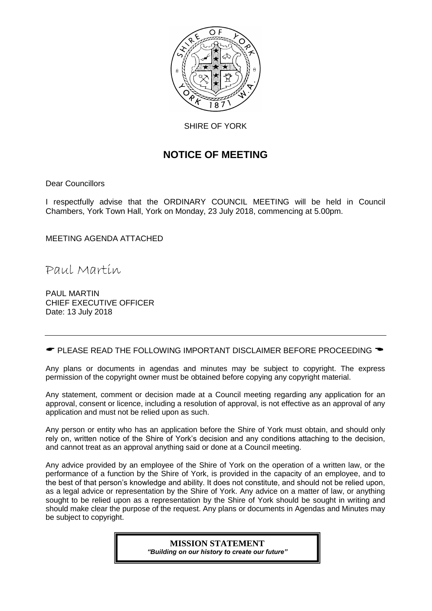

SHIRE OF YORK

# **NOTICE OF MEETING**

Dear Councillors

I respectfully advise that the ORDINARY COUNCIL MEETING will be held in Council Chambers, York Town Hall, York on Monday, 23 July 2018, commencing at 5.00pm.

MEETING AGENDA ATTACHED

Paul Martin

PAUL MARTIN CHIEF EXECUTIVE OFFICER Date: 13 July 2018

 $\bullet$  PLEASE READ THE FOLLOWING IMPORTANT DISCLAIMER BEFORE PROCEEDING  $\bullet$ 

Any plans or documents in agendas and minutes may be subject to copyright. The express permission of the copyright owner must be obtained before copying any copyright material.

Any statement, comment or decision made at a Council meeting regarding any application for an approval, consent or licence, including a resolution of approval, is not effective as an approval of any application and must not be relied upon as such.

Any person or entity who has an application before the Shire of York must obtain, and should only rely on, written notice of the Shire of York's decision and any conditions attaching to the decision, and cannot treat as an approval anything said or done at a Council meeting.

Any advice provided by an employee of the Shire of York on the operation of a written law, or the performance of a function by the Shire of York, is provided in the capacity of an employee, and to the best of that person's knowledge and ability. It does not constitute, and should not be relied upon, as a legal advice or representation by the Shire of York. Any advice on a matter of law, or anything sought to be relied upon as a representation by the Shire of York should be sought in writing and should make clear the purpose of the request. Any plans or documents in Agendas and Minutes may be subject to copyright.

> **MISSION STATEMENT** *"Building on our history to create our future"*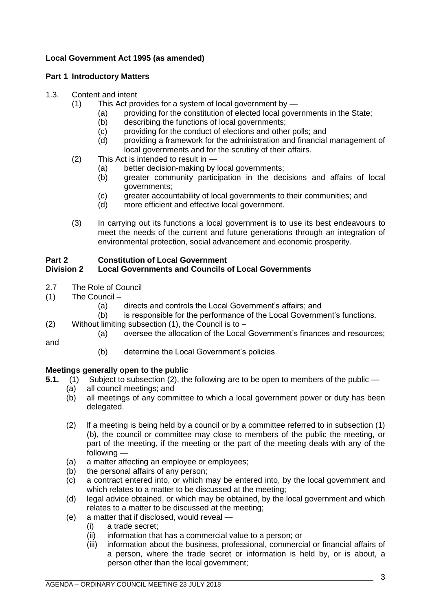# **Local Government Act 1995 (as amended)**

# **Part 1 Introductory Matters**

# 1.3. Content and intent

- (1) This Act provides for a system of local government by
	- (a) providing for the constitution of elected local governments in the State;
	- (b) describing the functions of local governments;
	- (c) providing for the conduct of elections and other polls; and
	- (d) providing a framework for the administration and financial management of local governments and for the scrutiny of their affairs.
- (2) This Act is intended to result in
	- (a) better decision-making by local governments;
	- (b) greater community participation in the decisions and affairs of local governments;
	- (c) greater accountability of local governments to their communities; and
	- (d) more efficient and effective local government.
- (3) In carrying out its functions a local government is to use its best endeavours to meet the needs of the current and future generations through an integration of environmental protection, social advancement and economic prosperity.

# **Part 2 Constitution of Local Government**

# **Division 2 Local Governments and Councils of Local Governments**

- 2.7 The Role of Council
- (1) The Council
	- (a) directs and controls the Local Government's affairs; and
	- (b) is responsible for the performance of the Local Government's functions.
- (2) Without limiting subsection  $(1)$ , the Council is to
	- (a) oversee the allocation of the Local Government's finances and resources;

and

(b) determine the Local Government's policies.

# **Meetings generally open to the public**

- **5.1.** (1) Subject to subsection (2), the following are to be open to members of the public
	- (a) all council meetings; and
	- (b) all meetings of any committee to which a local government power or duty has been delegated.
	- (2) If a meeting is being held by a council or by a committee referred to in subsection (1) (b), the council or committee may close to members of the public the meeting, or part of the meeting, if the meeting or the part of the meeting deals with any of the following —
	- (a) a matter affecting an employee or employees;
	- (b) the personal affairs of any person;
	- (c) a contract entered into, or which may be entered into, by the local government and which relates to a matter to be discussed at the meeting;
	- (d) legal advice obtained, or which may be obtained, by the local government and which relates to a matter to be discussed at the meeting;
	- (e) a matter that if disclosed, would reveal
		- (i) a trade secret;
		- (ii) information that has a commercial value to a person; or
		- (iii) information about the business, professional, commercial or financial affairs of a person, where the trade secret or information is held by, or is about, a person other than the local government;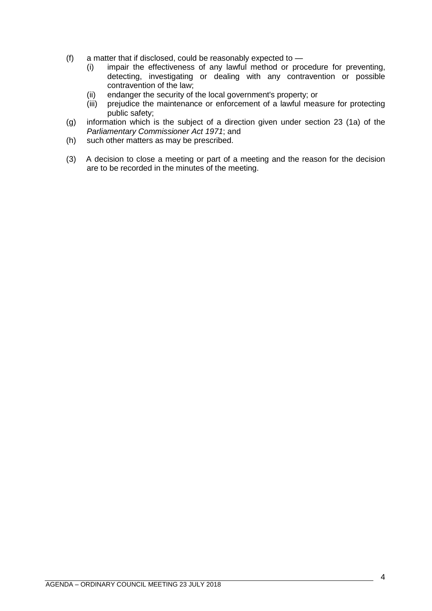- (f) a matter that if disclosed, could be reasonably expected to
	- (i) impair the effectiveness of any lawful method or procedure for preventing, detecting, investigating or dealing with any contravention or possible contravention of the law;
	- (ii) endanger the security of the local government's property; or
	- (iii) prejudice the maintenance or enforcement of a lawful measure for protecting public safety;
- (g) information which is the subject of a direction given under section 23 (1a) of the *Parliamentary Commissioner Act 1971*; and
- (h) such other matters as may be prescribed.
- (3) A decision to close a meeting or part of a meeting and the reason for the decision are to be recorded in the minutes of the meeting.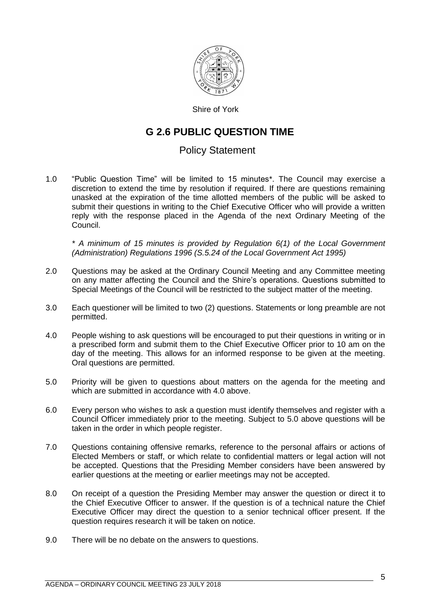

Shire of York

# **G 2.6 PUBLIC QUESTION TIME**

# Policy Statement

1.0 "Public Question Time" will be limited to 15 minutes\*. The Council may exercise a discretion to extend the time by resolution if required. If there are questions remaining unasked at the expiration of the time allotted members of the public will be asked to submit their questions in writing to the Chief Executive Officer who will provide a written reply with the response placed in the Agenda of the next Ordinary Meeting of the Council.

*\* A minimum of 15 minutes is provided by Regulation 6(1) of the Local Government (Administration) Regulations 1996 (S.5.24 of the Local Government Act 1995)*

- 2.0 Questions may be asked at the Ordinary Council Meeting and any Committee meeting on any matter affecting the Council and the Shire's operations. Questions submitted to Special Meetings of the Council will be restricted to the subject matter of the meeting.
- 3.0 Each questioner will be limited to two (2) questions. Statements or long preamble are not permitted.
- 4.0 People wishing to ask questions will be encouraged to put their questions in writing or in a prescribed form and submit them to the Chief Executive Officer prior to 10 am on the day of the meeting. This allows for an informed response to be given at the meeting. Oral questions are permitted.
- 5.0 Priority will be given to questions about matters on the agenda for the meeting and which are submitted in accordance with 4.0 above.
- 6.0 Every person who wishes to ask a question must identify themselves and register with a Council Officer immediately prior to the meeting. Subject to 5.0 above questions will be taken in the order in which people register.
- 7.0 Questions containing offensive remarks, reference to the personal affairs or actions of Elected Members or staff, or which relate to confidential matters or legal action will not be accepted. Questions that the Presiding Member considers have been answered by earlier questions at the meeting or earlier meetings may not be accepted.
- 8.0 On receipt of a question the Presiding Member may answer the question or direct it to the Chief Executive Officer to answer. If the question is of a technical nature the Chief Executive Officer may direct the question to a senior technical officer present. If the question requires research it will be taken on notice.
- 9.0 There will be no debate on the answers to questions.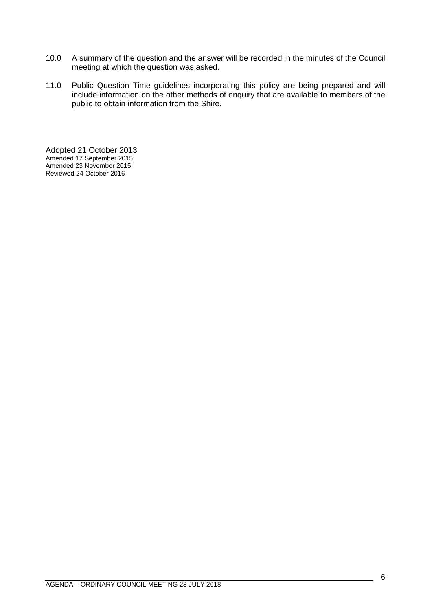- 10.0 A summary of the question and the answer will be recorded in the minutes of the Council meeting at which the question was asked.
- 11.0 Public Question Time guidelines incorporating this policy are being prepared and will include information on the other methods of enquiry that are available to members of the public to obtain information from the Shire.

Adopted 21 October 2013 Amended 17 September 2015 Amended 23 November 2015 Reviewed 24 October 2016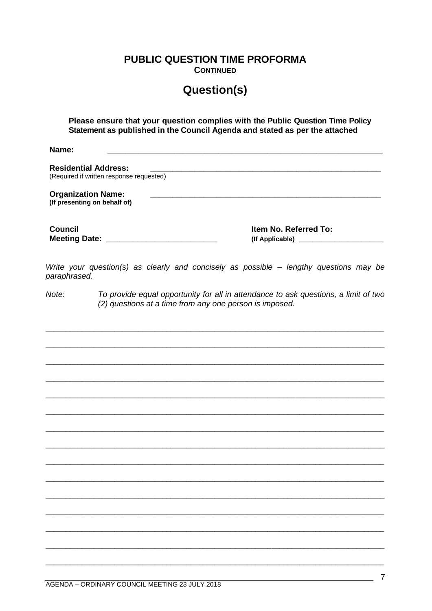**PUBLIC QUESTION TIME PROFORMA** 

**CONTINUED** 

# **Question(s)**

Please ensure that your question complies with the Public Question Time Policy Statement as published in the Council Agenda and stated as per the attached

Name<sup>.</sup>

**Residential Address:** (Required if written response requested) **Organization Name:** (If presenting on behalf of) **Council** Item No. Referred To: 

Write your question(s) as clearly and concisely as possible - lengthy questions may be paraphrased.

 $Note:$ To provide equal opportunity for all in attendance to ask questions, a limit of two (2) questions at a time from any one person is imposed.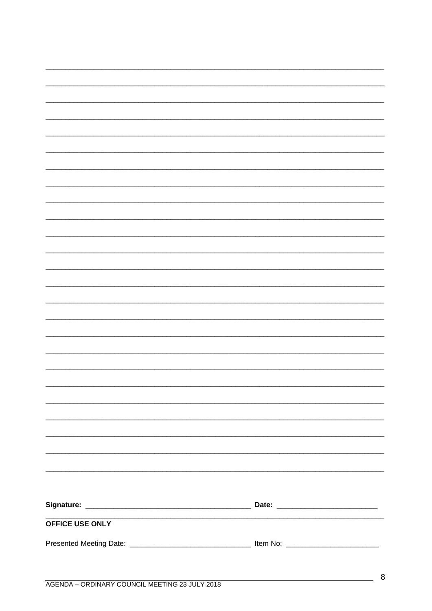| OFFICE USE ONLY |  |
|-----------------|--|
|                 |  |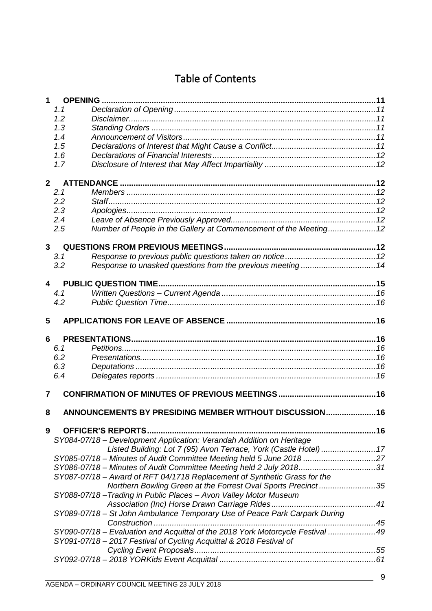# Table of Contents

| 1                       | <b>OPENING</b> |                                                                                |  |
|-------------------------|----------------|--------------------------------------------------------------------------------|--|
|                         | 1.1            |                                                                                |  |
|                         | 1.2            |                                                                                |  |
|                         | 1.3            |                                                                                |  |
|                         | 1.4            |                                                                                |  |
|                         | 1.5            |                                                                                |  |
|                         | 1.6            |                                                                                |  |
|                         | 1.7            |                                                                                |  |
| $\mathbf{2}$            |                |                                                                                |  |
|                         | 2.1            |                                                                                |  |
|                         | 2.2            |                                                                                |  |
|                         | 2.3            |                                                                                |  |
|                         | 2.4            |                                                                                |  |
|                         | 2.5            |                                                                                |  |
|                         |                |                                                                                |  |
| $\mathbf{3}$            |                | <b>QUESTIONS FROM PREVIOUS MEETINGS</b>                                        |  |
|                         | 3.1<br>3.2     |                                                                                |  |
|                         |                | Response to unasked questions from the previous meeting  14                    |  |
| $\overline{\mathbf{A}}$ |                |                                                                                |  |
|                         | 4.1            |                                                                                |  |
|                         | 4.2            |                                                                                |  |
| 5                       |                |                                                                                |  |
|                         |                |                                                                                |  |
| 6                       |                |                                                                                |  |
|                         | 6.1            |                                                                                |  |
|                         | 6.2            |                                                                                |  |
|                         | 6.3            |                                                                                |  |
|                         | 6.4            |                                                                                |  |
| 7                       |                |                                                                                |  |
|                         |                |                                                                                |  |
| 8                       |                | ANNOUNCEMENTS BY PRESIDING MEMBER WITHOUT DISCUSSION 16                        |  |
| 9                       |                |                                                                                |  |
|                         |                | SY084-07/18 - Development Application: Verandah Addition on Heritage           |  |
|                         |                | Listed Building: Lot 7 (95) Avon Terrace, York (Castle Hotel)  17              |  |
|                         |                |                                                                                |  |
|                         |                | SY085-07/18 - Minutes of Audit Committee Meeting held 5 June 2018 27           |  |
|                         |                | SY086-07/18 - Minutes of Audit Committee Meeting held 2 July 201831            |  |
|                         |                | SY087-07/18 - Award of RFT 04/1718 Replacement of Synthetic Grass for the      |  |
|                         |                | Northern Bowling Green at the Forrest Oval Sports Precinct35                   |  |
|                         |                | SY088-07/18-Trading in Public Places - Avon Valley Motor Museum                |  |
|                         |                |                                                                                |  |
|                         |                | SY089-07/18 - St John Ambulance Temporary Use of Peace Park Carpark During     |  |
|                         |                |                                                                                |  |
|                         |                | SY090-07/18 - Evaluation and Acquittal of the 2018 York Motorcycle Festival 49 |  |
|                         |                | SY091-07/18 - 2017 Festival of Cycling Acquittal & 2018 Festival of            |  |
|                         |                |                                                                                |  |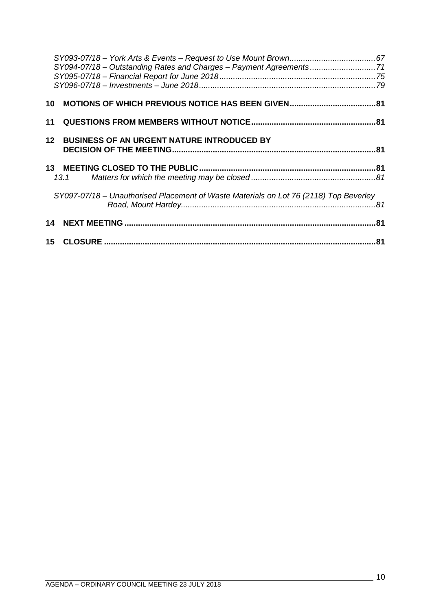|    | SY094-07/18 - Outstanding Rates and Charges - Payment Agreements71                    |  |
|----|---------------------------------------------------------------------------------------|--|
|    |                                                                                       |  |
|    |                                                                                       |  |
|    |                                                                                       |  |
| 11 |                                                                                       |  |
|    | 12 BUSINESS OF AN URGENT NATURE INTRODUCED BY                                         |  |
|    |                                                                                       |  |
|    |                                                                                       |  |
|    | 13.1                                                                                  |  |
|    | SY097-07/18 - Unauthorised Placement of Waste Materials on Lot 76 (2118) Top Beverley |  |
|    |                                                                                       |  |
|    |                                                                                       |  |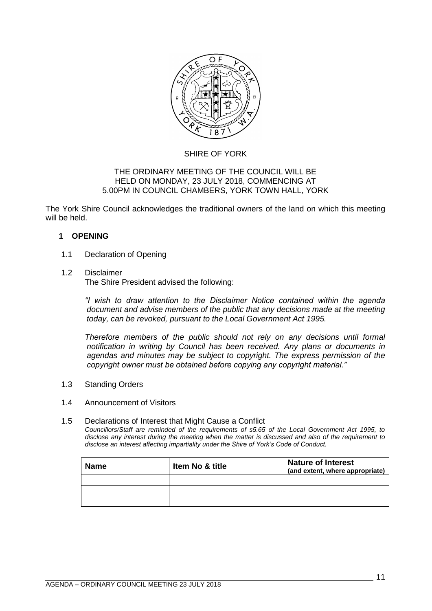

# SHIRE OF YORK

#### THE ORDINARY MEETING OF THE COUNCIL WILL BE HELD ON MONDAY, 23 JULY 2018, COMMENCING AT 5.00PM IN COUNCIL CHAMBERS, YORK TOWN HALL, YORK

The York Shire Council acknowledges the traditional owners of the land on which this meeting will be held.

# <span id="page-10-0"></span>**1 OPENING**

# <span id="page-10-1"></span>1.1 Declaration of Opening

#### <span id="page-10-2"></span>1.2 Disclaimer

The Shire President advised the following:

*"I wish to draw attention to the Disclaimer Notice contained within the agenda document and advise members of the public that any decisions made at the meeting today, can be revoked, pursuant to the Local Government Act 1995.* 

*Therefore members of the public should not rely on any decisions until formal notification in writing by Council has been received. Any plans or documents in agendas and minutes may be subject to copyright. The express permission of the copyright owner must be obtained before copying any copyright material."*

<span id="page-10-3"></span>1.3 Standing Orders

#### <span id="page-10-4"></span>1.4 Announcement of Visitors

#### <span id="page-10-5"></span>1.5 Declarations of Interest that Might Cause a Conflict

*Councillors/Staff are reminded of the requirements of s5.65 of the Local Government Act 1995, to disclose any interest during the meeting when the matter is discussed and also of the requirement to disclose an interest affecting impartiality under the Shire of York's Code of Conduct.*

| <b>Name</b> | Item No & title | <b>Nature of Interest</b><br>(and extent, where appropriate) |
|-------------|-----------------|--------------------------------------------------------------|
|             |                 |                                                              |
|             |                 |                                                              |
|             |                 |                                                              |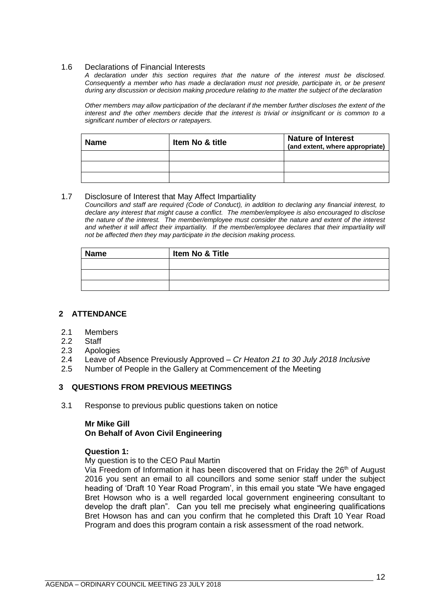#### <span id="page-11-0"></span>1.6 Declarations of Financial Interests

*A declaration under this section requires that the nature of the interest must be disclosed. Consequently a member who has made a declaration must not preside, participate in, or be present during any discussion or decision making procedure relating to the matter the subject of the declaration*

*Other members may allow participation of the declarant if the member further discloses the extent of the interest and the other members decide that the interest is trivial or insignificant or is common to a significant number of electors or ratepayers.*

| <b>Name</b> | <b>Item No &amp; title</b> | <b>Nature of Interest</b><br>(and extent, where appropriate) |
|-------------|----------------------------|--------------------------------------------------------------|
|             |                            |                                                              |
|             |                            |                                                              |
|             |                            |                                                              |

#### <span id="page-11-1"></span>1.7 Disclosure of Interest that May Affect Impartiality

*Councillors and staff are required (Code of Conduct), in addition to declaring any financial interest, to declare any interest that might cause a conflict. The member/employee is also encouraged to disclose the nature of the interest. The member/employee must consider the nature and extent of the interest*  and whether it will affect their impartiality. If the member/employee declares that their impartiality will *not be affected then they may participate in the decision making process.*

| <b>Name</b> | Item No & Title |  |
|-------------|-----------------|--|
|             |                 |  |
|             |                 |  |
|             |                 |  |

#### <span id="page-11-2"></span>**2 ATTENDANCE**

- <span id="page-11-3"></span>2.1 Members
- <span id="page-11-4"></span>2.2 Staff
- <span id="page-11-5"></span>2.3 Apologies
- <span id="page-11-6"></span>2.4 Leave of Absence Previously Approved – *Cr Heaton 21 to 30 July 2018 Inclusive*
- <span id="page-11-7"></span>2.5 Number of People in the Gallery at Commencement of the Meeting

#### <span id="page-11-8"></span>**3 QUESTIONS FROM PREVIOUS MEETINGS**

<span id="page-11-9"></span>3.1 Response to previous public questions taken on notice

# **Mr Mike Gill On Behalf of Avon Civil Engineering**

#### **Question 1:**

My question is to the CEO Paul Martin

Via Freedom of Information it has been discovered that on Friday the 26<sup>th</sup> of August 2016 you sent an email to all councillors and some senior staff under the subject heading of 'Draft 10 Year Road Program', in this email you state "We have engaged Bret Howson who is a well regarded local government engineering consultant to develop the draft plan". Can you tell me precisely what engineering qualifications Bret Howson has and can you confirm that he completed this Draft 10 Year Road Program and does this program contain a risk assessment of the road network.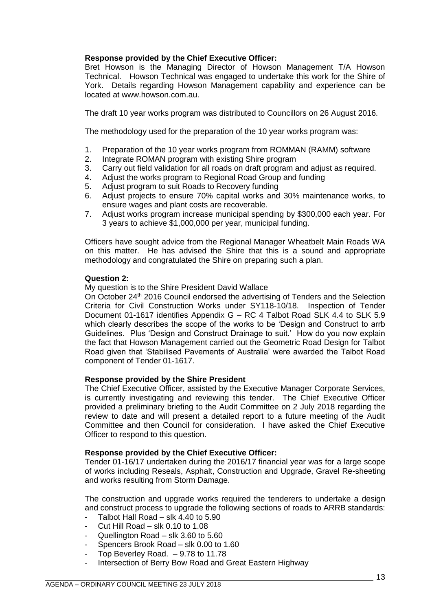# **Response provided by the Chief Executive Officer:**

Bret Howson is the Managing Director of Howson Management T/A Howson Technical. Howson Technical was engaged to undertake this work for the Shire of York. Details regarding Howson Management capability and experience can be located at [www.howson.com.au.](http://www.howson.com.au/)

The draft 10 year works program was distributed to Councillors on 26 August 2016.

The methodology used for the preparation of the 10 year works program was:

- 1. Preparation of the 10 year works program from ROMMAN (RAMM) software
- 2. Integrate ROMAN program with existing Shire program
- 3. Carry out field validation for all roads on draft program and adjust as required.
- 4. Adjust the works program to Regional Road Group and funding
- 5. Adjust program to suit Roads to Recovery funding
- 6. Adjust projects to ensure 70% capital works and 30% maintenance works, to ensure wages and plant costs are recoverable.
- 7. Adjust works program increase municipal spending by \$300,000 each year. For 3 years to achieve \$1,000,000 per year, municipal funding.

Officers have sought advice from the Regional Manager Wheatbelt Main Roads WA on this matter. He has advised the Shire that this is a sound and appropriate methodology and congratulated the Shire on preparing such a plan.

#### **Question 2:**

My question is to the Shire President David Wallace

On October 24<sup>th</sup> 2016 Council endorsed the advertising of Tenders and the Selection Criteria for Civil Construction Works under SY118-10/18. Inspection of Tender Document 01-1617 identifies Appendix G – RC 4 Talbot Road SLK 4.4 to SLK 5.9 which clearly describes the scope of the works to be 'Design and Construct to arrb Guidelines. Plus 'Design and Construct Drainage to suit.' How do you now explain the fact that Howson Management carried out the Geometric Road Design for Talbot Road given that 'Stabilised Pavements of Australia' were awarded the Talbot Road component of Tender 01-1617.

#### **Response provided by the Shire President**

The Chief Executive Officer, assisted by the Executive Manager Corporate Services, is currently investigating and reviewing this tender. The Chief Executive Officer provided a preliminary briefing to the Audit Committee on 2 July 2018 regarding the review to date and will present a detailed report to a future meeting of the Audit Committee and then Council for consideration. I have asked the Chief Executive Officer to respond to this question.

#### **Response provided by the Chief Executive Officer:**

Tender 01-16/17 undertaken during the 2016/17 financial year was for a large scope of works including Reseals, Asphalt, Construction and Upgrade, Gravel Re-sheeting and works resulting from Storm Damage.

The construction and upgrade works required the tenderers to undertake a design and construct process to upgrade the following sections of roads to ARRB standards:

- Talbot Hall Road slk  $4.40$  to  $5.90$
- Cut Hill Road slk  $0.10$  to  $1.08$
- Quellington Road slk 3.60 to 5.60
- Spencers Brook Road slk 0.00 to 1.60
- Top Beverley Road.  $9.78$  to 11.78
- Intersection of Berry Bow Road and Great Eastern Highway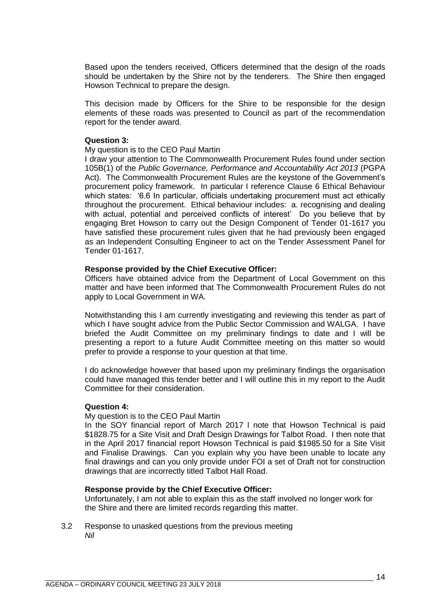Based upon the tenders received, Officers determined that the design of the roads should be undertaken by the Shire not by the tenderers. The Shire then engaged Howson Technical to prepare the design.

This decision made by Officers for the Shire to be responsible for the design elements of these roads was presented to Council as part of the recommendation report for the tender award.

#### **Question 3:**

#### My question is to the CEO Paul Martin

I draw your attention to The Commonwealth Procurement Rules found under section 105B(1) of the *Public Governance, Performance and Accountability Act 2013* (PGPA Act). The Commonwealth Procurement Rules are the keystone of the Government's procurement policy framework. In particular I reference Clause 6 Ethical Behaviour which states: '6.6 In particular, officials undertaking procurement must act ethically throughout the procurement. Ethical behaviour includes: a. recognising and dealing with actual, potential and perceived conflicts of interest' Do you believe that by engaging Bret Howson to carry out the Design Component of Tender 01-1617 you have satisfied these procurement rules given that he had previously been engaged as an Independent Consulting Engineer to act on the Tender Assessment Panel for Tender 01-1617.

#### **Response provided by the Chief Executive Officer:**

Officers have obtained advice from the Department of Local Government on this matter and have been informed that The Commonwealth Procurement Rules do not apply to Local Government in WA.

Notwithstanding this I am currently investigating and reviewing this tender as part of which I have sought advice from the Public Sector Commission and WALGA. I have briefed the Audit Committee on my preliminary findings to date and I will be presenting a report to a future Audit Committee meeting on this matter so would prefer to provide a response to your question at that time.

I do acknowledge however that based upon my preliminary findings the organisation could have managed this tender better and I will outline this in my report to the Audit Committee for their consideration.

#### **Question 4:**

#### My question is to the CEO Paul Martin

In the SOY financial report of March 2017 I note that Howson Technical is paid \$1828.75 for a Site Visit and Draft Design Drawings for Talbot Road. I then note that in the April 2017 financial report Howson Technical is paid \$1985.50 for a Site Visit and Finalise Drawings. Can you explain why you have been unable to locate any final drawings and can you only provide under FOI a set of Draft not for construction drawings that are incorrectly titled Talbot Hall Road.

# **Response provide by the Chief Executive Officer:**

Unfortunately, I am not able to explain this as the staff involved no longer work for the Shire and there are limited records regarding this matter.

<span id="page-13-0"></span>3.2 Response to unasked questions from the previous meeting *Nil*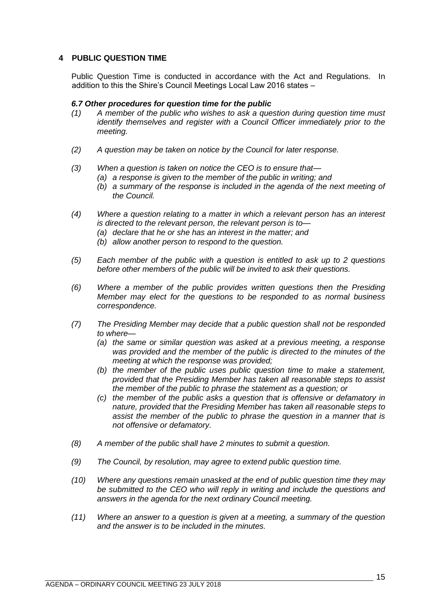# <span id="page-14-0"></span>**4 PUBLIC QUESTION TIME**

Public Question Time is conducted in accordance with the Act and Regulations. In addition to this the Shire's Council Meetings Local Law 2016 states –

#### *6.7 Other procedures for question time for the public*

- *(1) A member of the public who wishes to ask a question during question time must identify themselves and register with a Council Officer immediately prior to the meeting.*
- *(2) A question may be taken on notice by the Council for later response.*
- *(3) When a question is taken on notice the CEO is to ensure that—*
	- *(a) a response is given to the member of the public in writing; and*
	- *(b) a summary of the response is included in the agenda of the next meeting of the Council.*
- *(4) Where a question relating to a matter in which a relevant person has an interest is directed to the relevant person, the relevant person is to—*
	- *(a) declare that he or she has an interest in the matter; and*
	- *(b) allow another person to respond to the question.*
- *(5) Each member of the public with a question is entitled to ask up to 2 questions before other members of the public will be invited to ask their questions.*
- *(6) Where a member of the public provides written questions then the Presiding Member may elect for the questions to be responded to as normal business correspondence.*
- *(7) The Presiding Member may decide that a public question shall not be responded to where—*
	- *(a) the same or similar question was asked at a previous meeting, a response was provided and the member of the public is directed to the minutes of the meeting at which the response was provided;*
	- *(b) the member of the public uses public question time to make a statement, provided that the Presiding Member has taken all reasonable steps to assist the member of the public to phrase the statement as a question; or*
	- *(c) the member of the public asks a question that is offensive or defamatory in nature, provided that the Presiding Member has taken all reasonable steps to assist the member of the public to phrase the question in a manner that is not offensive or defamatory.*
- *(8) A member of the public shall have 2 minutes to submit a question.*
- *(9) The Council, by resolution, may agree to extend public question time.*
- *(10) Where any questions remain unasked at the end of public question time they may be submitted to the CEO who will reply in writing and include the questions and answers in the agenda for the next ordinary Council meeting.*
- *(11) Where an answer to a question is given at a meeting, a summary of the question and the answer is to be included in the minutes.*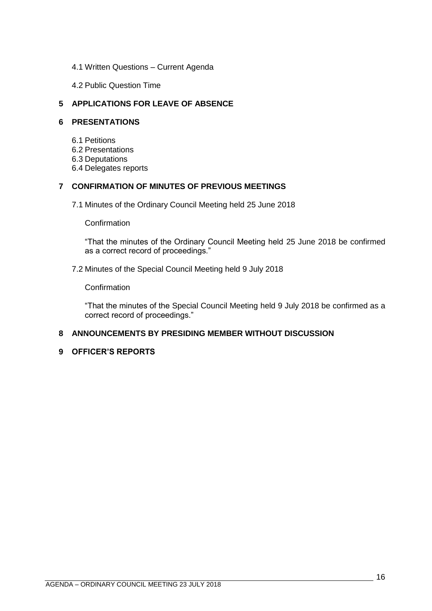- <span id="page-15-0"></span>4.1 Written Questions – Current Agenda
- 4.2 Public Question Time

# <span id="page-15-2"></span><span id="page-15-1"></span>**5 APPLICATIONS FOR LEAVE OF ABSENCE**

# <span id="page-15-4"></span><span id="page-15-3"></span>**6 PRESENTATIONS**

- 6.1 Petitions
- <span id="page-15-5"></span>6.2 Presentations
- <span id="page-15-6"></span>6.3 Deputations
- 6.4 Delegates reports

# <span id="page-15-8"></span><span id="page-15-7"></span>**7 CONFIRMATION OF MINUTES OF PREVIOUS MEETINGS**

7.1 Minutes of the Ordinary Council Meeting held 25 June 2018

**Confirmation** 

"That the minutes of the Ordinary Council Meeting held 25 June 2018 be confirmed as a correct record of proceedings."

# 7.2 Minutes of the Special Council Meeting held 9 July 2018

Confirmation

"That the minutes of the Special Council Meeting held 9 July 2018 be confirmed as a correct record of proceedings."

# <span id="page-15-9"></span>**8 ANNOUNCEMENTS BY PRESIDING MEMBER WITHOUT DISCUSSION**

# <span id="page-15-10"></span>**9 OFFICER'S REPORTS**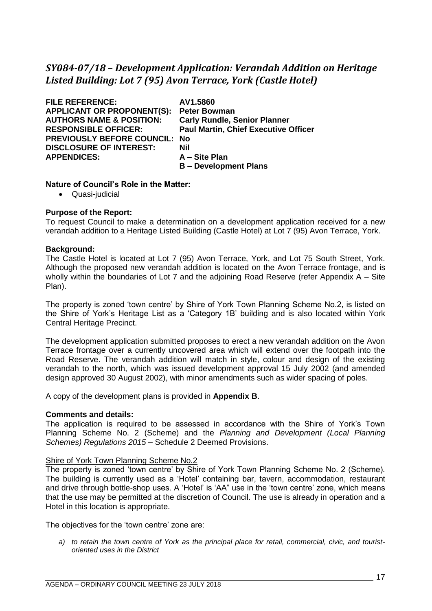# <span id="page-16-0"></span>*SY084-07/18 – Development Application: Verandah Addition on Heritage Listed Building: Lot 7 (95) Avon Terrace, York (Castle Hotel)*

| <b>FILE REFERENCE:</b>              | AV1.5860                                    |
|-------------------------------------|---------------------------------------------|
| <b>APPLICANT OR PROPONENT(S):</b>   | <b>Peter Bowman</b>                         |
|                                     |                                             |
| <b>AUTHORS NAME &amp; POSITION:</b> | <b>Carly Rundle, Senior Planner</b>         |
| <b>RESPONSIBLE OFFICER:</b>         | <b>Paul Martin, Chief Executive Officer</b> |
| <b>PREVIOUSLY BEFORE COUNCIL:</b>   | No                                          |
| <b>DISCLOSURE OF INTEREST:</b>      | Nil                                         |
| <b>APPENDICES:</b>                  | A - Site Plan                               |
|                                     | <b>B</b> – Development Plans                |

#### **Nature of Council's Role in the Matter:**

• Quasi-judicial

# **Purpose of the Report:**

To request Council to make a determination on a development application received for a new verandah addition to a Heritage Listed Building (Castle Hotel) at Lot 7 (95) Avon Terrace, York.

#### **Background:**

The Castle Hotel is located at Lot 7 (95) Avon Terrace, York, and Lot 75 South Street, York. Although the proposed new verandah addition is located on the Avon Terrace frontage, and is wholly within the boundaries of Lot 7 and the adjoining Road Reserve (refer Appendix A – Site Plan).

The property is zoned 'town centre' by Shire of York Town Planning Scheme No.2, is listed on the Shire of York's Heritage List as a 'Category 1B' building and is also located within York Central Heritage Precinct.

The development application submitted proposes to erect a new verandah addition on the Avon Terrace frontage over a currently uncovered area which will extend over the footpath into the Road Reserve. The verandah addition will match in style, colour and design of the existing verandah to the north, which was issued development approval 15 July 2002 (and amended design approved 30 August 2002), with minor amendments such as wider spacing of poles.

A copy of the development plans is provided in **Appendix B**.

#### **Comments and details:**

The application is required to be assessed in accordance with the Shire of York's Town Planning Scheme No. 2 (Scheme) and the *Planning and Development (Local Planning Schemes) Regulations 2015* – Schedule 2 Deemed Provisions.

#### Shire of York Town Planning Scheme No.2

The property is zoned 'town centre' by Shire of York Town Planning Scheme No. 2 (Scheme). The building is currently used as a 'Hotel' containing bar, tavern, accommodation, restaurant and drive through bottle-shop uses. A 'Hotel' is 'AA" use in the 'town centre' zone, which means that the use may be permitted at the discretion of Council. The use is already in operation and a Hotel in this location is appropriate.

The objectives for the 'town centre' zone are:

*a) to retain the town centre of York as the principal place for retail, commercial, civic, and touristoriented uses in the District*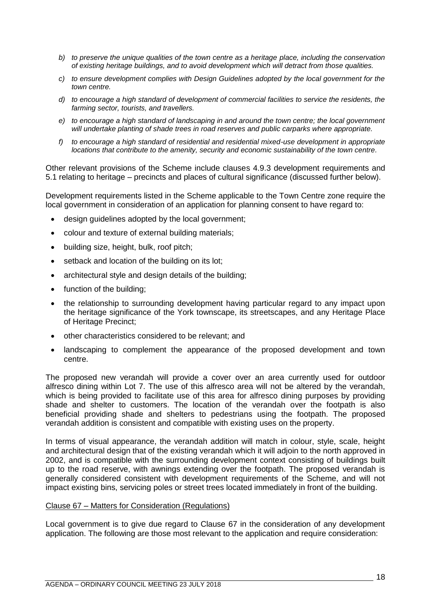- *b) to preserve the unique qualities of the town centre as a heritage place, including the conservation of existing heritage buildings, and to avoid development which will detract from those qualities.*
- *c) to ensure development complies with Design Guidelines adopted by the local government for the town centre.*
- *d) to encourage a high standard of development of commercial facilities to service the residents, the farming sector, tourists, and travellers.*
- *e) to encourage a high standard of landscaping in and around the town centre; the local government will undertake planting of shade trees in road reserves and public carparks where appropriate.*
- *f) to encourage a high standard of residential and residential mixed-use development in appropriate locations that contribute to the amenity, security and economic sustainability of the town centre.*

Other relevant provisions of the Scheme include clauses 4.9.3 development requirements and 5.1 relating to heritage – precincts and places of cultural significance (discussed further below).

Development requirements listed in the Scheme applicable to the Town Centre zone require the local government in consideration of an application for planning consent to have regard to:

- design guidelines adopted by the local government:
- colour and texture of external building materials;
- building size, height, bulk, roof pitch;
- setback and location of the building on its lot;
- architectural style and design details of the building;
- function of the building;
- the relationship to surrounding development having particular regard to any impact upon the heritage significance of the York townscape, its streetscapes, and any Heritage Place of Heritage Precinct;
- other characteristics considered to be relevant; and
- landscaping to complement the appearance of the proposed development and town centre.

The proposed new verandah will provide a cover over an area currently used for outdoor alfresco dining within Lot 7. The use of this alfresco area will not be altered by the verandah, which is being provided to facilitate use of this area for alfresco dining purposes by providing shade and shelter to customers. The location of the verandah over the footpath is also beneficial providing shade and shelters to pedestrians using the footpath. The proposed verandah addition is consistent and compatible with existing uses on the property.

In terms of visual appearance, the verandah addition will match in colour, style, scale, height and architectural design that of the existing verandah which it will adjoin to the north approved in 2002, and is compatible with the surrounding development context consisting of buildings built up to the road reserve, with awnings extending over the footpath. The proposed verandah is generally considered consistent with development requirements of the Scheme, and will not impact existing bins, servicing poles or street trees located immediately in front of the building.

#### Clause 67 – Matters for Consideration (Regulations)

Local government is to give due regard to Clause 67 in the consideration of any development application. The following are those most relevant to the application and require consideration: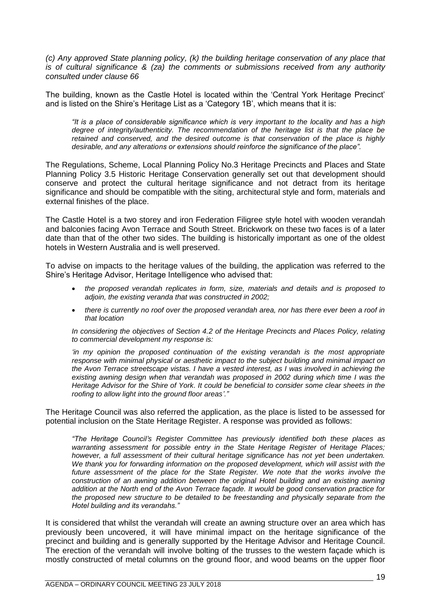*(c)* Any approved State planning policy, *(k)* the building heritage conservation of any place that *is of cultural significance & (za) the comments or submissions received from any authority consulted under clause 66*

The building, known as the Castle Hotel is located within the 'Central York Heritage Precinct' and is listed on the Shire's Heritage List as a 'Category 1B', which means that it is:

*"It is a place of considerable significance which is very important to the locality and has a high degree of integrity/authenticity. The recommendation of the heritage list is that the place be retained and conserved, and the desired outcome is that conservation of the place is highly desirable, and any alterations or extensions should reinforce the significance of the place".*

The Regulations, Scheme, Local Planning Policy No.3 Heritage Precincts and Places and State Planning Policy 3.5 Historic Heritage Conservation generally set out that development should conserve and protect the cultural heritage significance and not detract from its heritage significance and should be compatible with the siting, architectural style and form, materials and external finishes of the place.

The Castle Hotel is a two storey and iron Federation Filigree style hotel with wooden verandah and balconies facing Avon Terrace and South Street. Brickwork on these two faces is of a later date than that of the other two sides. The building is historically important as one of the oldest hotels in Western Australia and is well preserved.

To advise on impacts to the heritage values of the building, the application was referred to the Shire's Heritage Advisor, Heritage Intelligence who advised that:

- *the proposed verandah replicates in form, size, materials and details and is proposed to adjoin, the existing veranda that was constructed in 2002;*
- *there is currently no roof over the proposed verandah area, nor has there ever been a roof in that location*

*In considering the objectives of Section 4.2 of the Heritage Precincts and Places Policy, relating to commercial development my response is:*

*'in my opinion the proposed continuation of the existing verandah is the most appropriate response with minimal physical or aesthetic impact to the subject building and minimal impact on the Avon Terrace streetscape vistas. I have a vested interest, as I was involved in achieving the existing awning design when that verandah was proposed in 2002 during which time I was the Heritage Advisor for the Shire of York. It could be beneficial to consider some clear sheets in the roofing to allow light into the ground floor areas'."* 

The Heritage Council was also referred the application, as the place is listed to be assessed for potential inclusion on the State Heritage Register. A response was provided as follows:

*"The Heritage Council's Register Committee has previously identified both these places as warranting assessment for possible entry in the State Heritage Register of Heritage Places; however, a full assessment of their cultural heritage significance has not yet been undertaken. We thank you for forwarding information on the proposed development, which will assist with the*  future assessment of the place for the State Register. We note that the works involve the *construction of an awning addition between the original Hotel building and an existing awning addition at the North end of the Avon Terrace façade. It would be good conservation practice for the proposed new structure to be detailed to be freestanding and physically separate from the Hotel building and its verandahs."* 

It is considered that whilst the verandah will create an awning structure over an area which has previously been uncovered, it will have minimal impact on the heritage significance of the precinct and building and is generally supported by the Heritage Advisor and Heritage Council. The erection of the verandah will involve bolting of the trusses to the western façade which is mostly constructed of metal columns on the ground floor, and wood beams on the upper floor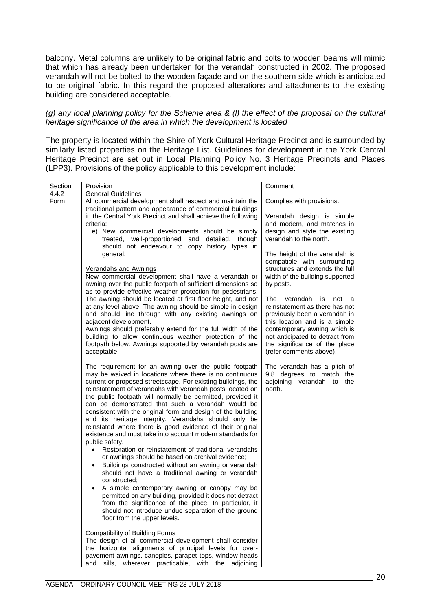balcony. Metal columns are unlikely to be original fabric and bolts to wooden beams will mimic that which has already been undertaken for the verandah constructed in 2002. The proposed verandah will not be bolted to the wooden façade and on the southern side which is anticipated to be original fabric. In this regard the proposed alterations and attachments to the existing building are considered acceptable.

#### *(g) any local planning policy for the Scheme area & (l) the effect of the proposal on the cultural heritage significance of the area in which the development is located*

The property is located within the Shire of York Cultural Heritage Precinct and is surrounded by similarly listed properties on the Heritage List. Guidelines for development in the York Central Heritage Precinct are set out in Local Planning Policy No. 3 Heritage Precincts and Places (LPP3). Provisions of the policy applicable to this development include:

| Section       | Provision                                                                                                                                                                                                                                                                                                                                                                                                                                                                                                                                                                                                                                                                                                                                                                                                                                                                                                                                                                                                                                                                                                                                                 | Comment                                                                                                                                                                                                                                                                                                                                                                                                                                                                                                                                                                   |
|---------------|-----------------------------------------------------------------------------------------------------------------------------------------------------------------------------------------------------------------------------------------------------------------------------------------------------------------------------------------------------------------------------------------------------------------------------------------------------------------------------------------------------------------------------------------------------------------------------------------------------------------------------------------------------------------------------------------------------------------------------------------------------------------------------------------------------------------------------------------------------------------------------------------------------------------------------------------------------------------------------------------------------------------------------------------------------------------------------------------------------------------------------------------------------------|---------------------------------------------------------------------------------------------------------------------------------------------------------------------------------------------------------------------------------------------------------------------------------------------------------------------------------------------------------------------------------------------------------------------------------------------------------------------------------------------------------------------------------------------------------------------------|
| 4.4.2<br>Form | <b>General Guidelines</b><br>All commercial development shall respect and maintain the<br>traditional pattern and appearance of commercial buildings<br>in the Central York Precinct and shall achieve the following<br>criteria:<br>e) New commercial developments should be simply<br>treated, well-proportioned and detailed,<br>though<br>should not endeavour to copy history types in<br>general.<br>Verandahs and Awnings<br>New commercial development shall have a verandah or<br>awning over the public footpath of sufficient dimensions so<br>as to provide effective weather protection for pedestrians.<br>The awning should be located at first floor height, and not<br>at any level above. The awning should be simple in design<br>and should line through with any existing awnings on<br>adjacent development.<br>Awnings should preferably extend for the full width of the<br>building to allow continuous weather protection of the<br>footpath below. Awnings supported by verandah posts are<br>acceptable.                                                                                                                      | Complies with provisions.<br>Verandah design is simple<br>and modern, and matches in<br>design and style the existing<br>verandah to the north.<br>The height of the verandah is<br>compatible with surrounding<br>structures and extends the full<br>width of the building supported<br>by posts.<br>The<br>verandah is<br>not<br>- a<br>reinstatement as there has not<br>previously been a verandah in<br>this location and is a simple<br>contemporary awning which is<br>not anticipated to detract from<br>the significance of the place<br>(refer comments above). |
|               | The requirement for an awning over the public footpath<br>may be waived in locations where there is no continuous<br>current or proposed streetscape. For existing buildings, the<br>reinstatement of verandahs with verandah posts located on<br>the public footpath will normally be permitted, provided it<br>can be demonstrated that such a verandah would be<br>consistent with the original form and design of the building<br>and its heritage integrity. Verandahs should only be<br>reinstated where there is good evidence of their original<br>existence and must take into account modern standards for<br>public safety.<br>• Restoration or reinstatement of traditional verandahs<br>or awnings should be based on archival evidence;<br>Buildings constructed without an awning or verandah<br>$\bullet$<br>should not have a traditional awning or verandah<br>constructed;<br>A simple contemporary awning or canopy may be<br>permitted on any building, provided it does not detract<br>from the significance of the place. In particular, it<br>should not introduce undue separation of the ground<br>floor from the upper levels. | The verandah has a pitch of<br>9.8 degrees to match the<br>adjoining verandah to<br>the<br>north.                                                                                                                                                                                                                                                                                                                                                                                                                                                                         |
|               | <b>Compatibility of Building Forms</b><br>The design of all commercial development shall consider<br>the horizontal alignments of principal levels for over-<br>pavement awnings, canopies, parapet tops, window heads<br>and sills.<br>wherever practicable.<br>with the<br>adjoining                                                                                                                                                                                                                                                                                                                                                                                                                                                                                                                                                                                                                                                                                                                                                                                                                                                                    |                                                                                                                                                                                                                                                                                                                                                                                                                                                                                                                                                                           |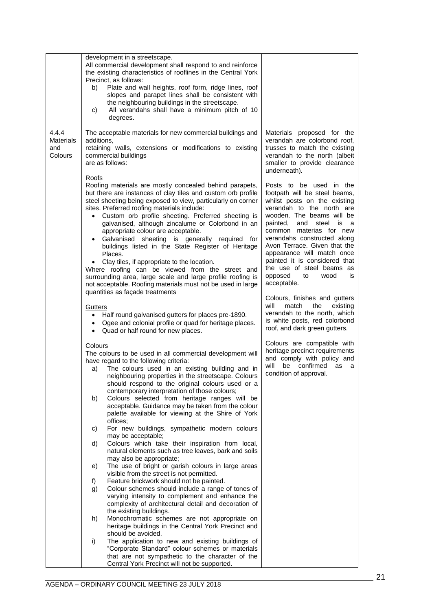|                                             | development in a streetscape.<br>All commercial development shall respond to and reinforce<br>the existing characteristics of rooflines in the Central York<br>Precinct, as follows:<br>Plate and wall heights, roof form, ridge lines, roof<br>b)<br>slopes and parapet lines shall be consistent with<br>the neighbouring buildings in the streetscape.<br>All verandahs shall have a minimum pitch of 10<br>c)                                                                                                                                                                                                                                                                                                                                                                                              |                                                                                                                                                                                                                                                                                                                                                                                                                      |
|---------------------------------------------|----------------------------------------------------------------------------------------------------------------------------------------------------------------------------------------------------------------------------------------------------------------------------------------------------------------------------------------------------------------------------------------------------------------------------------------------------------------------------------------------------------------------------------------------------------------------------------------------------------------------------------------------------------------------------------------------------------------------------------------------------------------------------------------------------------------|----------------------------------------------------------------------------------------------------------------------------------------------------------------------------------------------------------------------------------------------------------------------------------------------------------------------------------------------------------------------------------------------------------------------|
| 4.4.4<br><b>Materials</b><br>and<br>Colours | degrees.<br>The acceptable materials for new commercial buildings and<br>additions.<br>retaining walls, extensions or modifications to existing<br>commercial buildings<br>are as follows:                                                                                                                                                                                                                                                                                                                                                                                                                                                                                                                                                                                                                     | Materials proposed for the<br>verandah are colorbond roof,<br>trusses to match the existing<br>verandah to the north (albeit<br>smaller to provide clearance<br>underneath).                                                                                                                                                                                                                                         |
|                                             | Roofs<br>Roofing materials are mostly concealed behind parapets,<br>but there are instances of clay tiles and custom orb profile<br>steel sheeting being exposed to view, particularly on corner<br>sites. Preferred roofing materials include:<br>Custom orb profile sheeting. Preferred sheeting is<br>$\bullet$<br>galvanised, although zincalume or Colorbond in an<br>appropriate colour are acceptable.<br>Galvanised sheeting is generally required for<br>$\bullet$<br>buildings listed in the State Register of Heritage<br>Places.<br>Clay tiles, if appropriate to the location.<br>Where roofing can be viewed from the street and<br>surrounding area, large scale and large profile roofing is<br>not acceptable. Roofing materials must not be used in large<br>quantities as façade treatments | Posts to be used in the<br>footpath will be steel beams,<br>whilst posts on the existing<br>verandah to the north are<br>wooden. The beams will be<br>painted,<br>and steel is a<br>common materias for new<br>verandahs constructed along<br>Avon Terrace. Given that the<br>appearance will match once<br>painted it is considered that<br>the use of steel beams as<br>opposed<br>to<br>wood<br>is<br>acceptable. |
|                                             | Gutters<br>Half round galvanised gutters for places pre-1890.<br>$\bullet$<br>Ogee and colonial profile or quad for heritage places.<br>$\bullet$<br>Quad or half round for new places.<br>$\bullet$                                                                                                                                                                                                                                                                                                                                                                                                                                                                                                                                                                                                           | Colours, finishes and gutters<br>will<br>match<br>the<br>existing<br>verandah to the north, which<br>is white posts, red colorbond<br>roof, and dark green gutters.                                                                                                                                                                                                                                                  |
|                                             | Colours<br>The colours to be used in all commercial development will<br>have regard to the following criteria:<br>The colours used in an existing building and in<br>a)<br>neighbouring properties in the streetscape. Colours<br>should respond to the original colours used or a<br>contemporary interpretation of those colours;<br>Colours selected from heritage ranges will be<br>b)<br>acceptable. Guidance may be taken from the colour<br>palette available for viewing at the Shire of York<br>offices:                                                                                                                                                                                                                                                                                              | Colours are compatible with<br>heritage precinct requirements<br>and comply with policy and<br>will<br>be<br>confirmed<br>as<br>a<br>condition of approval.                                                                                                                                                                                                                                                          |
|                                             | For new buildings, sympathetic modern colours<br>C)<br>may be acceptable;<br>Colours which take their inspiration from local,<br>d)<br>natural elements such as tree leaves, bark and soils                                                                                                                                                                                                                                                                                                                                                                                                                                                                                                                                                                                                                    |                                                                                                                                                                                                                                                                                                                                                                                                                      |
|                                             | may also be appropriate;<br>The use of bright or garish colours in large areas<br>e)<br>visible from the street is not permitted.<br>Feature brickwork should not be painted.<br>f)<br>Colour schemes should include a range of tones of<br>g)<br>varying intensity to complement and enhance the<br>complexity of architectural detail and decoration of                                                                                                                                                                                                                                                                                                                                                                                                                                                      |                                                                                                                                                                                                                                                                                                                                                                                                                      |
|                                             | the existing buildings.<br>Monochromatic schemes are not appropriate on<br>h)<br>heritage buildings in the Central York Precinct and<br>should be avoided.                                                                                                                                                                                                                                                                                                                                                                                                                                                                                                                                                                                                                                                     |                                                                                                                                                                                                                                                                                                                                                                                                                      |
|                                             | i)<br>The application to new and existing buildings of<br>"Corporate Standard" colour schemes or materials<br>that are not sympathetic to the character of the<br>Central York Precinct will not be supported.                                                                                                                                                                                                                                                                                                                                                                                                                                                                                                                                                                                                 |                                                                                                                                                                                                                                                                                                                                                                                                                      |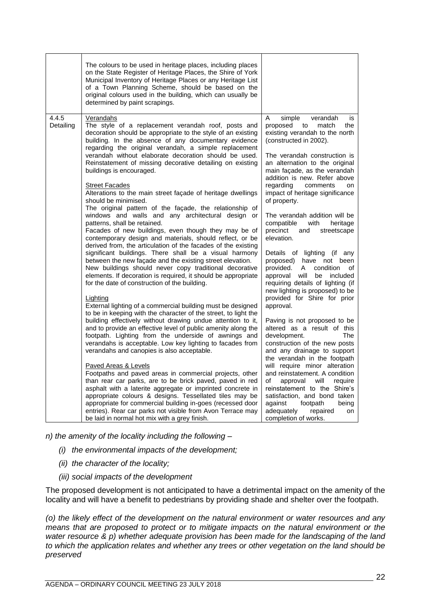|                    | The colours to be used in heritage places, including places<br>on the State Register of Heritage Places, the Shire of York<br>Municipal Inventory of Heritage Places or any Heritage List<br>of a Town Planning Scheme, should be based on the<br>original colours used in the building, which can usually be<br>determined by paint scrapings.                                                                                                                                                                                                                                                                                                                                                                                                                                                                                                                                                                                                                                                                                                                                                                                                                                                                                                                                                                                                                                                                                                                                                                                                                                                                                                                                                                                                                                                                                                                                                                                                                                                                                                                                     |                                                                                                                                                                                                                                                                                                                                                                                                                                                                                                                                                                                                                                                                                                                                                                                                                                                                                                                                                                                                                                                                                                                                                                                     |
|--------------------|-------------------------------------------------------------------------------------------------------------------------------------------------------------------------------------------------------------------------------------------------------------------------------------------------------------------------------------------------------------------------------------------------------------------------------------------------------------------------------------------------------------------------------------------------------------------------------------------------------------------------------------------------------------------------------------------------------------------------------------------------------------------------------------------------------------------------------------------------------------------------------------------------------------------------------------------------------------------------------------------------------------------------------------------------------------------------------------------------------------------------------------------------------------------------------------------------------------------------------------------------------------------------------------------------------------------------------------------------------------------------------------------------------------------------------------------------------------------------------------------------------------------------------------------------------------------------------------------------------------------------------------------------------------------------------------------------------------------------------------------------------------------------------------------------------------------------------------------------------------------------------------------------------------------------------------------------------------------------------------------------------------------------------------------------------------------------------------|-------------------------------------------------------------------------------------------------------------------------------------------------------------------------------------------------------------------------------------------------------------------------------------------------------------------------------------------------------------------------------------------------------------------------------------------------------------------------------------------------------------------------------------------------------------------------------------------------------------------------------------------------------------------------------------------------------------------------------------------------------------------------------------------------------------------------------------------------------------------------------------------------------------------------------------------------------------------------------------------------------------------------------------------------------------------------------------------------------------------------------------------------------------------------------------|
| 4.4.5<br>Detailing | <b>Verandahs</b><br>The style of a replacement verandah roof, posts and<br>decoration should be appropriate to the style of an existing<br>building. In the absence of any documentary evidence<br>regarding the original verandah, a simple replacement<br>verandah without elaborate decoration should be used.<br>Reinstatement of missing decorative detailing on existing<br>buildings is encouraged.<br><b>Street Facades</b><br>Alterations to the main street façade of heritage dwellings<br>should be minimised.<br>The original pattern of the façade, the relationship of<br>windows and walls and any architectural design or<br>patterns, shall be retained.<br>Facades of new buildings, even though they may be of<br>contemporary design and materials, should reflect, or be<br>derived from, the articulation of the facades of the existing<br>significant buildings. There shall be a visual harmony<br>between the new façade and the existing street elevation.<br>New buildings should never copy traditional decorative<br>elements. If decoration is required, it should be appropriate<br>for the date of construction of the building.<br>Lighting<br>External lighting of a commercial building must be designed<br>to be in keeping with the character of the street, to light the<br>building effectively without drawing undue attention to it,<br>and to provide an effective level of public amenity along the<br>footpath. Lighting from the underside of awnings and<br>verandahs is acceptable. Low key lighting to facades from<br>verandahs and canopies is also acceptable.<br><b>Paved Areas &amp; Levels</b><br>Footpaths and paved areas in commercial projects, other<br>than rear car parks, are to be brick paved, paved in red<br>asphalt with a laterite aggregate or imprinted concrete in<br>appropriate colours & designs. Tessellated tiles may be<br>appropriate for commercial building in-goes (recessed door<br>entries). Rear car parks not visible from Avon Terrace may<br>be laid in normal hot mix with a grey finish. | A<br>simple<br>verandah<br>is<br>proposed<br>to<br>the<br>match<br>existing verandah to the north<br>(constructed in 2002).<br>The verandah construction is<br>an alternation to the original<br>main façade, as the verandah<br>addition is new. Refer above<br>regarding<br>comments<br>on<br>impact of heritage significance<br>of property.<br>The verandah addition will be<br>compatible<br>with<br>heritage<br>precinct<br>and<br>streetscape<br>elevation.<br>Details of lighting (if any<br>proposed) have not been<br>provided.<br>condition<br>A<br>οf<br>approval will<br>be included<br>requiring details of lighting (if<br>new lighting is proposed) to be<br>provided for Shire for prior<br>approval.<br>Paving is not proposed to be<br>altered as a result of this<br>development.<br><b>The</b><br>construction of the new posts<br>and any drainage to support<br>the verandah in the footpath<br>will require minor alteration<br>and reinstatement. A condition<br>of<br>approval<br>will<br>require<br>reinstatement to the Shire's<br>satisfaction, and bond taken<br>against<br>footpath<br>being<br>adequately<br>repaired<br>on<br>completion of works. |

*n) the amenity of the locality including the following –*

- *(i) the environmental impacts of the development;*
- *(ii) the character of the locality;*
- *(iii) social impacts of the development*

The proposed development is not anticipated to have a detrimental impact on the amenity of the locality and will have a benefit to pedestrians by providing shade and shelter over the footpath.

*(o) the likely effect of the development on the natural environment or water resources and any means that are proposed to protect or to mitigate impacts on the natural environment or the water resource & p) whether adequate provision has been made for the landscaping of the land to which the application relates and whether any trees or other vegetation on the land should be preserved*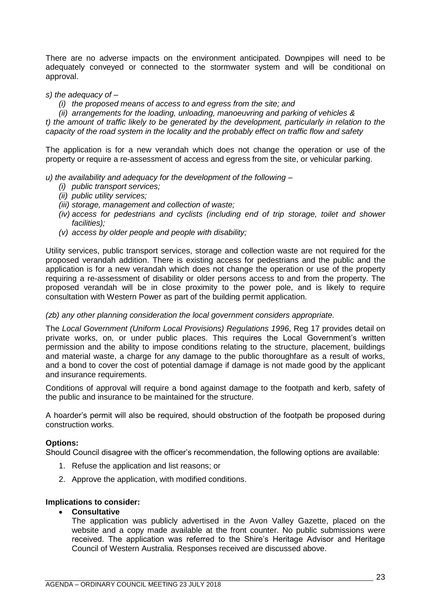There are no adverse impacts on the environment anticipated. Downpipes will need to be adequately conveyed or connected to the stormwater system and will be conditional on approval.

#### *s) the adequacy of –*

*(i) the proposed means of access to and egress from the site; and*

*(ii) arrangements for the loading, unloading, manoeuvring and parking of vehicles & t) the amount of traffic likely to be generated by the development, particularly in relation to the capacity of the road system in the locality and the probably effect on traffic flow and safety*

The application is for a new verandah which does not change the operation or use of the property or require a re-assessment of access and egress from the site, or vehicular parking.

*u) the availability and adequacy for the development of the following –*

- *(i) public transport services;*
- *(ii) public utility services;*
- *(iii) storage, management and collection of waste;*
- *(iv) access for pedestrians and cyclists (including end of trip storage, toilet and shower facilities);*
- *(v) access by older people and people with disability;*

Utility services, public transport services, storage and collection waste are not required for the proposed verandah addition. There is existing access for pedestrians and the public and the application is for a new verandah which does not change the operation or use of the property requiring a re-assessment of disability or older persons access to and from the property. The proposed verandah will be in close proximity to the power pole, and is likely to require consultation with Western Power as part of the building permit application.

# *(zb) any other planning consideration the local government considers appropriate.*

The *Local Government (Uniform Local Provisions) Regulations 1996*, Reg 17 provides detail on private works, on, or under public places. This requires the Local Government's written permission and the ability to impose conditions relating to the structure, placement, buildings and material waste, a charge for any damage to the public thoroughfare as a result of works, and a bond to cover the cost of potential damage if damage is not made good by the applicant and insurance requirements.

Conditions of approval will require a bond against damage to the footpath and kerb, safety of the public and insurance to be maintained for the structure.

A hoarder's permit will also be required, should obstruction of the footpath be proposed during construction works.

#### **Options:**

Should Council disagree with the officer's recommendation, the following options are available:

- 1. Refuse the application and list reasons; or
- 2. Approve the application, with modified conditions.

#### **Implications to consider:**

#### • **Consultative**

The application was publicly advertised in the Avon Valley Gazette, placed on the website and a copy made available at the front counter. No public submissions were received. The application was referred to the Shire's Heritage Advisor and Heritage Council of Western Australia. Responses received are discussed above.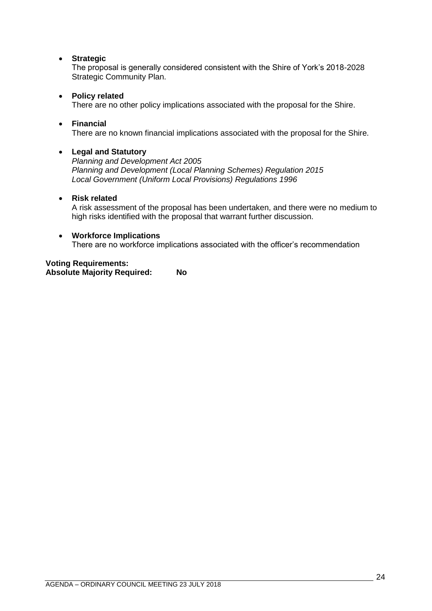# • **Strategic**

The proposal is generally considered consistent with the Shire of York's 2018-2028 Strategic Community Plan.

# • **Policy related**

There are no other policy implications associated with the proposal for the Shire.

# • **Financial**

There are no known financial implications associated with the proposal for the Shire.

# • **Legal and Statutory**

*Planning and Development Act 2005 Planning and Development (Local Planning Schemes) Regulation 2015 Local Government (Uniform Local Provisions) Regulations 1996*

# • **Risk related**

A risk assessment of the proposal has been undertaken, and there were no medium to high risks identified with the proposal that warrant further discussion.

#### • **Workforce Implications**

There are no workforce implications associated with the officer's recommendation

# **Voting Requirements:**

**Absolute Majority Required: No**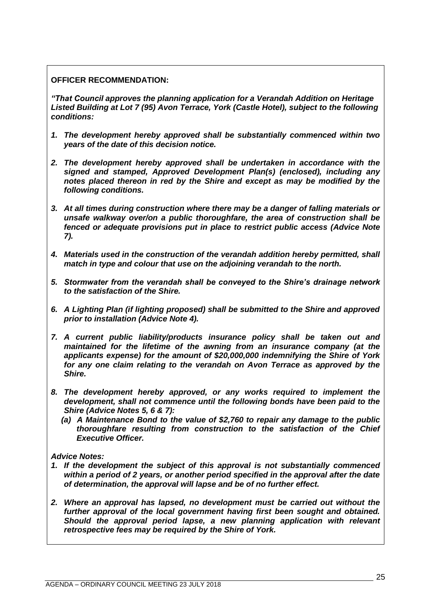**OFFICER RECOMMENDATION:**

*"That Council approves the planning application for a Verandah Addition on Heritage Listed Building at Lot 7 (95) Avon Terrace, York (Castle Hotel), subject to the following conditions:*

- *1. The development hereby approved shall be substantially commenced within two years of the date of this decision notice.*
- *2. The development hereby approved shall be undertaken in accordance with the signed and stamped, Approved Development Plan(s) (enclosed), including any notes placed thereon in red by the Shire and except as may be modified by the following conditions.*
- *3. At all times during construction where there may be a danger of falling materials or unsafe walkway over/on a public thoroughfare, the area of construction shall be fenced or adequate provisions put in place to restrict public access (Advice Note 7).*
- *4. Materials used in the construction of the verandah addition hereby permitted, shall match in type and colour that use on the adjoining verandah to the north.*
- *5. Stormwater from the verandah shall be conveyed to the Shire's drainage network to the satisfaction of the Shire.*
- *6. A Lighting Plan (if lighting proposed) shall be submitted to the Shire and approved prior to installation (Advice Note 4).*
- *7. A current public liability/products insurance policy shall be taken out and maintained for the lifetime of the awning from an insurance company (at the applicants expense) for the amount of \$20,000,000 indemnifying the Shire of York for any one claim relating to the verandah on Avon Terrace as approved by the Shire.*
- *8. The development hereby approved, or any works required to implement the development, shall not commence until the following bonds have been paid to the Shire (Advice Notes 5, 6 & 7):*
	- *(a) A Maintenance Bond to the value of \$2,760 to repair any damage to the public thoroughfare resulting from construction to the satisfaction of the Chief Executive Officer.*

# *Advice Notes:*

- *1. If the development the subject of this approval is not substantially commenced within a period of 2 years, or another period specified in the approval after the date of determination, the approval will lapse and be of no further effect.*
- *2. Where an approval has lapsed, no development must be carried out without the further approval of the local government having first been sought and obtained. Should the approval period lapse, a new planning application with relevant retrospective fees may be required by the Shire of York.*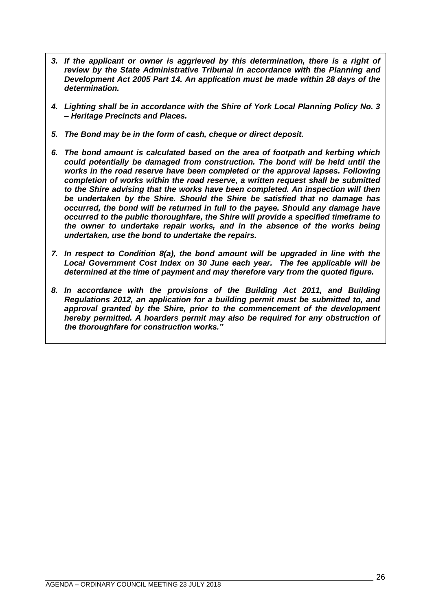- *3. If the applicant or owner is aggrieved by this determination, there is a right of review by the State Administrative Tribunal in accordance with the Planning and Development Act 2005 Part 14. An application must be made within 28 days of the determination.*
- *4. Lighting shall be in accordance with the Shire of York Local Planning Policy No. 3 – Heritage Precincts and Places.*
- *5. The Bond may be in the form of cash, cheque or direct deposit.*
- *6. The bond amount is calculated based on the area of footpath and kerbing which could potentially be damaged from construction. The bond will be held until the works in the road reserve have been completed or the approval lapses. Following completion of works within the road reserve, a written request shall be submitted to the Shire advising that the works have been completed. An inspection will then be undertaken by the Shire. Should the Shire be satisfied that no damage has occurred, the bond will be returned in full to the payee. Should any damage have occurred to the public thoroughfare, the Shire will provide a specified timeframe to the owner to undertake repair works, and in the absence of the works being undertaken, use the bond to undertake the repairs.*
- *7. In respect to Condition 8(a), the bond amount will be upgraded in line with the Local Government Cost Index on 30 June each year. The fee applicable will be determined at the time of payment and may therefore vary from the quoted figure.*
- *8. In accordance with the provisions of the Building Act 2011, and Building Regulations 2012, an application for a building permit must be submitted to, and approval granted by the Shire, prior to the commencement of the development hereby permitted. A hoarders permit may also be required for any obstruction of the thoroughfare for construction works."*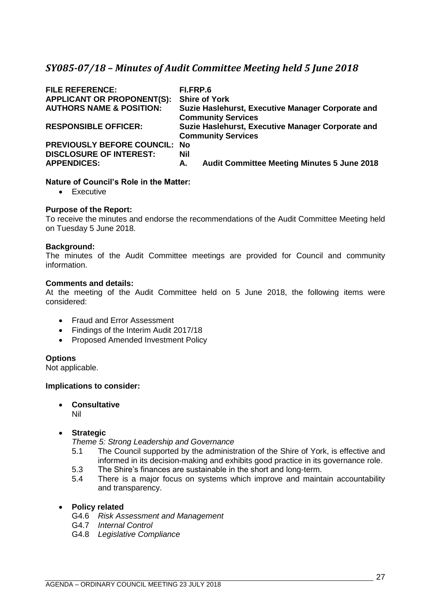# <span id="page-26-0"></span>*SY085-07/18 – Minutes of Audit Committee Meeting held 5 June 2018*

| <b>FILE REFERENCE:</b><br><b>APPLICANT OR PROPONENT(S):</b><br><b>AUTHORS NAME &amp; POSITION:</b> | FI.FRP.6         | <b>Shire of York</b><br>Suzie Haslehurst, Executive Manager Corporate and<br><b>Community Services</b> |
|----------------------------------------------------------------------------------------------------|------------------|--------------------------------------------------------------------------------------------------------|
| <b>RESPONSIBLE OFFICER:</b>                                                                        |                  | Suzie Haslehurst, Executive Manager Corporate and<br><b>Community Services</b>                         |
| <b>PREVIOUSLY BEFORE COUNCIL: No</b>                                                               |                  |                                                                                                        |
| <b>DISCLOSURE OF INTEREST:</b><br><b>APPENDICES:</b>                                               | <b>Nil</b><br>Α. | <b>Audit Committee Meeting Minutes 5 June 2018</b>                                                     |
|                                                                                                    |                  |                                                                                                        |

# **Nature of Council's Role in the Matter:**

• Executive

#### **Purpose of the Report:**

To receive the minutes and endorse the recommendations of the Audit Committee Meeting held on Tuesday 5 June 2018.

#### **Background:**

The minutes of the Audit Committee meetings are provided for Council and community information.

#### **Comments and details:**

At the meeting of the Audit Committee held on 5 June 2018, the following items were considered:

- Fraud and Error Assessment
- Findings of the Interim Audit 2017/18
- Proposed Amended Investment Policy

# **Options**

Not applicable.

#### **Implications to consider:**

• **Consultative**

Nil

# • **Strategic**

*Theme 5: Strong Leadership and Governance*

- 5.1 The Council supported by the administration of the Shire of York, is effective and informed in its decision-making and exhibits good practice in its governance role.
- 5.3 The Shire's finances are sustainable in the short and long-term.
- 5.4 There is a major focus on systems which improve and maintain accountability and transparency.

#### • **Policy related**

- G4.6 *Risk Assessment and Management*
- G4.7 *Internal Control*
- G4.8 *Legislative Compliance*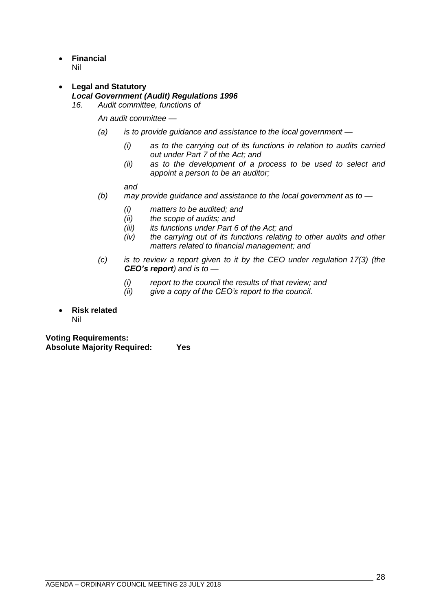- **Financial** Nil
- **Legal and Statutory** *Local Government (Audit) Regulations 1996*
	- *16. Audit committee, functions of*

*An audit committee —*

- *(a) is to provide guidance and assistance to the local government —*
	- *(i) as to the carrying out of its functions in relation to audits carried out under Part 7 of the Act; and*
	- *(ii) as to the development of a process to be used to select and appoint a person to be an auditor;*

*and*

- *(b) may provide guidance and assistance to the local government as to —*
	- *(i) matters to be audited; and*
	- *(ii) the scope of audits; and*
	- *(iii) its functions under Part 6 of the Act; and*
	- *(iv) the carrying out of its functions relating to other audits and other matters related to financial management; and*
- *(c) is to review a report given to it by the CEO under regulation 17(3) (the CEO's report) and is to —*
	- *(i) report to the council the results of that review; and*
	- *(ii) give a copy of the CEO's report to the council.*
- **Risk related** Nil

**Voting Requirements: Absolute Majority Required: Yes**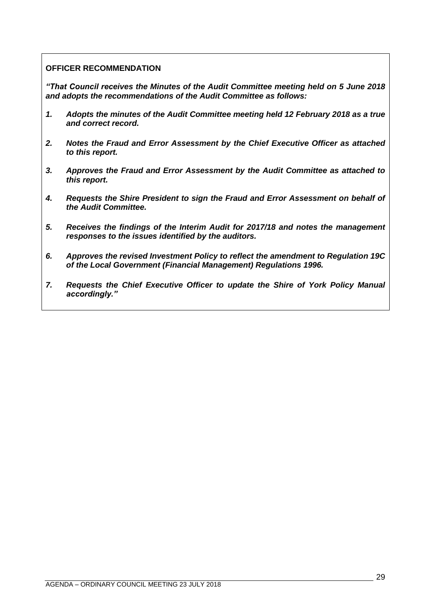# **OFFICER RECOMMENDATION**

*"That Council receives the Minutes of the Audit Committee meeting held on 5 June 2018 and adopts the recommendations of the Audit Committee as follows:*

- *1. Adopts the minutes of the Audit Committee meeting held 12 February 2018 as a true and correct record.*
- *2. Notes the Fraud and Error Assessment by the Chief Executive Officer as attached to this report.*
- *3. Approves the Fraud and Error Assessment by the Audit Committee as attached to this report.*
- *4. Requests the Shire President to sign the Fraud and Error Assessment on behalf of the Audit Committee.*
- *5. Receives the findings of the Interim Audit for 2017/18 and notes the management responses to the issues identified by the auditors.*
- *6. Approves the revised Investment Policy to reflect the amendment to Regulation 19C of the Local Government (Financial Management) Regulations 1996.*
- *7. Requests the Chief Executive Officer to update the Shire of York Policy Manual accordingly."*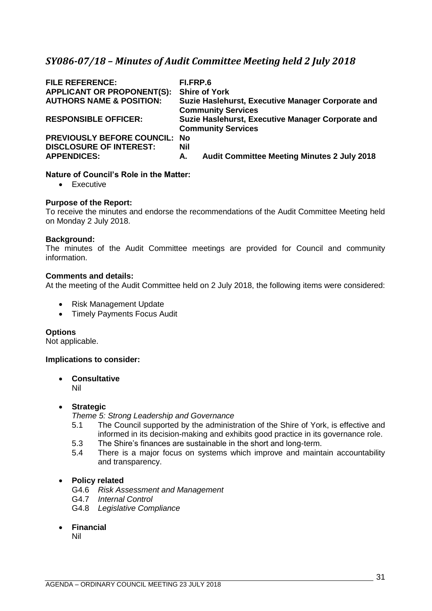# <span id="page-30-0"></span>*SY086-07/18 – Minutes of Audit Committee Meeting held 2 July 2018*

| <b>FILE REFERENCE:</b><br><b>APPLICANT OR PROPONENT(S):</b><br><b>AUTHORS NAME &amp; POSITION:</b> | FI.FRP.6<br><b>Shire of York</b><br>Suzie Haslehurst, Executive Manager Corporate and<br><b>Community Services</b> |
|----------------------------------------------------------------------------------------------------|--------------------------------------------------------------------------------------------------------------------|
| <b>RESPONSIBLE OFFICER:</b>                                                                        | Suzie Haslehurst, Executive Manager Corporate and<br><b>Community Services</b>                                     |
| <b>PREVIOUSLY BEFORE COUNCIL:</b><br><b>DISCLOSURE OF INTEREST:</b>                                | <b>No</b><br>Nil                                                                                                   |
| <b>APPENDICES:</b>                                                                                 | <b>Audit Committee Meeting Minutes 2 July 2018</b><br>А.                                                           |

# **Nature of Council's Role in the Matter:**

• Executive

#### **Purpose of the Report:**

To receive the minutes and endorse the recommendations of the Audit Committee Meeting held on Monday 2 July 2018.

#### **Background:**

The minutes of the Audit Committee meetings are provided for Council and community information.

# **Comments and details:**

At the meeting of the Audit Committee held on 2 July 2018, the following items were considered:

- Risk Management Update
- Timely Payments Focus Audit

#### **Options**

Not applicable.

#### **Implications to consider:**

• **Consultative** Nil

#### • **Strategic**

*Theme 5: Strong Leadership and Governance*

- 5.1 The Council supported by the administration of the Shire of York, is effective and informed in its decision-making and exhibits good practice in its governance role.
- 5.3 The Shire's finances are sustainable in the short and long-term.
- 5.4 There is a major focus on systems which improve and maintain accountability and transparency.

# • **Policy related**

- G4.6 *Risk Assessment and Management*
- G4.7 *Internal Control*
- G4.8 *Legislative Compliance*
- **Financial**

Nil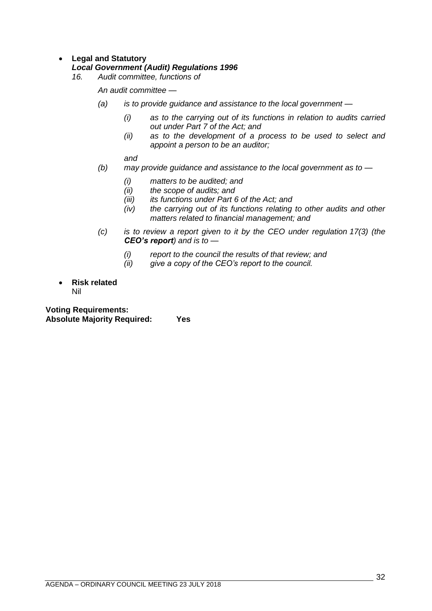# • **Legal and Statutory**

# *Local Government (Audit) Regulations 1996*

*16. Audit committee, functions of*

*An audit committee —*

- *(a) is to provide guidance and assistance to the local government —*
	- *(i) as to the carrying out of its functions in relation to audits carried out under Part 7 of the Act; and*
	- *(ii) as to the development of a process to be used to select and appoint a person to be an auditor;*

*and*

- *(b) may provide guidance and assistance to the local government as to —*
	- *(i) matters to be audited; and*
	- *(ii) the scope of audits; and*
	- *(iii) its functions under Part 6 of the Act; and*
	- *(iv) the carrying out of its functions relating to other audits and other matters related to financial management; and*
- *(c) is to review a report given to it by the CEO under regulation 17(3) (the CEO's report) and is to —*
	- *(i) report to the council the results of that review; and*
	- *(ii) give a copy of the CEO's report to the council.*
- **Risk related** Nil

**Voting Requirements: Absolute Majority Required: Yes**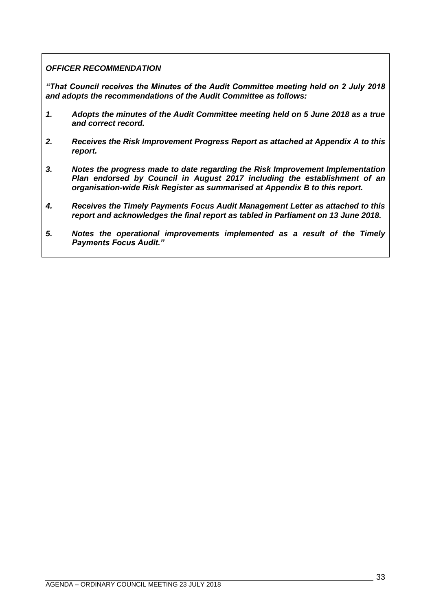# *OFFICER RECOMMENDATION*

*"That Council receives the Minutes of the Audit Committee meeting held on 2 July 2018 and adopts the recommendations of the Audit Committee as follows:*

- *1. Adopts the minutes of the Audit Committee meeting held on 5 June 2018 as a true and correct record.*
- *2. Receives the Risk Improvement Progress Report as attached at Appendix A to this report.*
- *3. Notes the progress made to date regarding the Risk Improvement Implementation Plan endorsed by Council in August 2017 including the establishment of an organisation-wide Risk Register as summarised at Appendix B to this report.*
- *4. Receives the Timely Payments Focus Audit Management Letter as attached to this report and acknowledges the final report as tabled in Parliament on 13 June 2018.*
- *5. Notes the operational improvements implemented as a result of the Timely Payments Focus Audit."*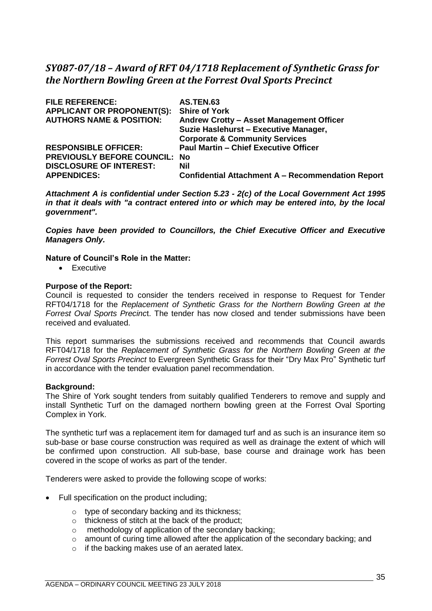# <span id="page-34-0"></span>*SY087-07/18 – Award of RFT 04/1718 Replacement of Synthetic Grass for the Northern Bowling Green at the Forrest Oval Sports Precinct*

| <b>FILE REFERENCE:</b>               | <b>AS.TEN.63</b>                                         |
|--------------------------------------|----------------------------------------------------------|
| <b>APPLICANT OR PROPONENT(S):</b>    | <b>Shire of York</b>                                     |
| <b>AUTHORS NAME &amp; POSITION:</b>  | Andrew Crotty - Asset Management Officer                 |
|                                      | Suzie Haslehurst - Executive Manager,                    |
|                                      | <b>Corporate &amp; Community Services</b>                |
| <b>RESPONSIBLE OFFICER:</b>          | <b>Paul Martin - Chief Executive Officer</b>             |
| <b>PREVIOUSLY BEFORE COUNCIL: No</b> |                                                          |
| <b>DISCLOSURE OF INTEREST:</b>       | Nil                                                      |
| <b>APPENDICES:</b>                   | <b>Confidential Attachment A – Recommendation Report</b> |

*Attachment A is confidential under Section 5.23 - 2(c) of the Local Government Act 1995 in that it deals with "a contract entered into or which may be entered into, by the local government".*

*Copies have been provided to Councillors, the Chief Executive Officer and Executive Managers Only.*

#### **Nature of Council's Role in the Matter:**

• Executive

#### **Purpose of the Report:**

Council is requested to consider the tenders received in response to Request for Tender RFT04/1718 for the *Replacement of Synthetic Grass for the Northern Bowling Green at the Forrest Oval Sports Precinc*t. The tender has now closed and tender submissions have been received and evaluated.

This report summarises the submissions received and recommends that Council awards RFT04/1718 for the *Replacement of Synthetic Grass for the Northern Bowling Green at the Forrest Oval Sports Precinct* to Evergreen Synthetic Grass for their "Dry Max Pro" Synthetic turf in accordance with the tender evaluation panel recommendation.

#### **Background:**

The Shire of York sought tenders from suitably qualified Tenderers to remove and supply and install Synthetic Turf on the damaged northern bowling green at the Forrest Oval Sporting Complex in York.

The synthetic turf was a replacement item for damaged turf and as such is an insurance item so sub-base or base course construction was required as well as drainage the extent of which will be confirmed upon construction. All sub-base, base course and drainage work has been covered in the scope of works as part of the tender.

Tenderers were asked to provide the following scope of works:

- Full specification on the product including;
	- o type of secondary backing and its thickness;
	- o thickness of stitch at the back of the product;
	- o methodology of application of the secondary backing;
	- o amount of curing time allowed after the application of the secondary backing; and
	- o if the backing makes use of an aerated latex.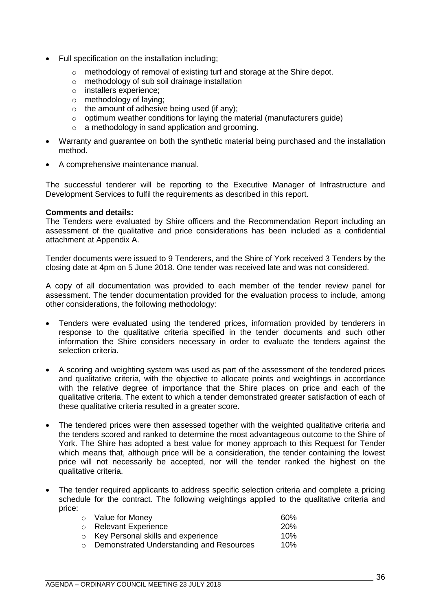- Full specification on the installation including;
	- o methodology of removal of existing turf and storage at the Shire depot.
	- o methodology of sub soil drainage installation
	- o installers experience;
	- o methodology of laying;
	- $\circ$  the amount of adhesive being used (if any);
	- o optimum weather conditions for laying the material (manufacturers guide)
	- o a methodology in sand application and grooming.
- Warranty and guarantee on both the synthetic material being purchased and the installation method.
- A comprehensive maintenance manual.

The successful tenderer will be reporting to the Executive Manager of Infrastructure and Development Services to fulfil the requirements as described in this report.

#### **Comments and details:**

The Tenders were evaluated by Shire officers and the Recommendation Report including an assessment of the qualitative and price considerations has been included as a confidential attachment at Appendix A.

Tender documents were issued to 9 Tenderers, and the Shire of York received 3 Tenders by the closing date at 4pm on 5 June 2018. One tender was received late and was not considered.

A copy of all documentation was provided to each member of the tender review panel for assessment. The tender documentation provided for the evaluation process to include, among other considerations, the following methodology:

- Tenders were evaluated using the tendered prices, information provided by tenderers in response to the qualitative criteria specified in the tender documents and such other information the Shire considers necessary in order to evaluate the tenders against the selection criteria.
- A scoring and weighting system was used as part of the assessment of the tendered prices and qualitative criteria, with the objective to allocate points and weightings in accordance with the relative degree of importance that the Shire places on price and each of the qualitative criteria. The extent to which a tender demonstrated greater satisfaction of each of these qualitative criteria resulted in a greater score.
- The tendered prices were then assessed together with the weighted qualitative criteria and the tenders scored and ranked to determine the most advantageous outcome to the Shire of York. The Shire has adopted a best value for money approach to this Request for Tender which means that, although price will be a consideration, the tender containing the lowest price will not necessarily be accepted, nor will the tender ranked the highest on the qualitative criteria.
- The tender required applicants to address specific selection criteria and complete a pricing schedule for the contract. The following weightings applied to the qualitative criteria and price:

| ○ Value for Money                          | 60%        |
|--------------------------------------------|------------|
| o Relevant Experience                      | <b>20%</b> |
| $\circ$ Key Personal skills and experience | 10%        |
| ○ Demonstrated Understanding and Resources | 10%        |
|                                            |            |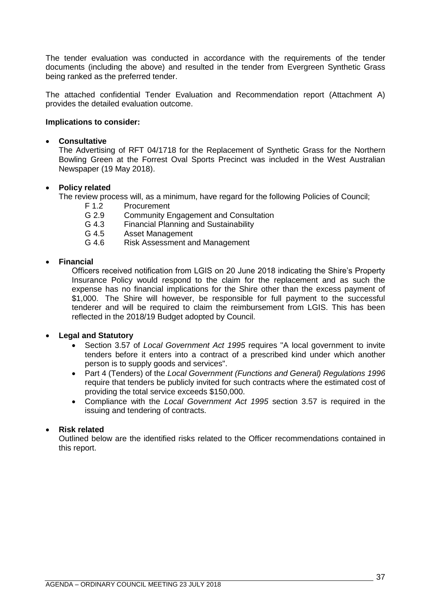The tender evaluation was conducted in accordance with the requirements of the tender documents (including the above) and resulted in the tender from Evergreen Synthetic Grass being ranked as the preferred tender.

The attached confidential Tender Evaluation and Recommendation report (Attachment A) provides the detailed evaluation outcome.

## **Implications to consider:**

#### • **Consultative**

The Advertising of RFT 04/1718 for the Replacement of Synthetic Grass for the Northern Bowling Green at the Forrest Oval Sports Precinct was included in the West Australian Newspaper (19 May 2018).

## • **Policy related**

The review process will, as a minimum, have regard for the following Policies of Council;

- F 1.2 Procurement
- G 2.9 Community Engagement and Consultation
- G 4.3 Financial Planning and Sustainability
- G 4.5 Asset Management
- G 4.6 Risk Assessment and Management

## • **Financial**

Officers received notification from LGIS on 20 June 2018 indicating the Shire's Property Insurance Policy would respond to the claim for the replacement and as such the expense has no financial implications for the Shire other than the excess payment of \$1,000. The Shire will however, be responsible for full payment to the successful tenderer and will be required to claim the reimbursement from LGIS. This has been reflected in the 2018/19 Budget adopted by Council.

## • **Legal and Statutory**

- Section 3.57 of *Local Government Act 1995* requires "A local government to invite tenders before it enters into a contract of a prescribed kind under which another person is to supply goods and services".
- Part 4 (Tenders) of the *Local Government (Functions and General) Regulations 1996* require that tenders be publicly invited for such contracts where the estimated cost of providing the total service exceeds \$150,000.
- Compliance with the *Local Government Act 1995* section 3.57 is required in the issuing and tendering of contracts.

## • **Risk related**

Outlined below are the identified risks related to the Officer recommendations contained in this report.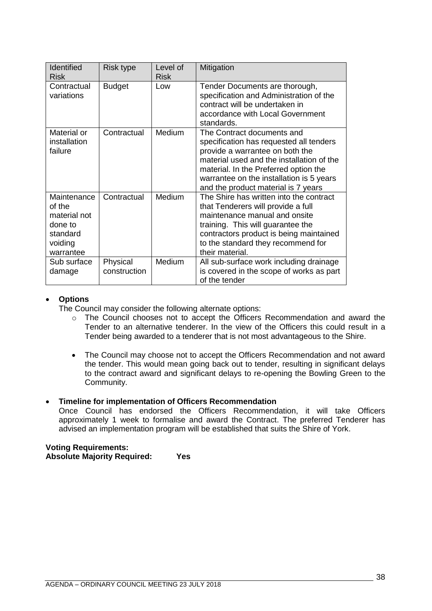| Identified<br><b>Risk</b>                                                            | <b>Risk type</b>         | Level of<br><b>Risk</b> | Mitigation                                                                                                                                                                                                                                                                        |
|--------------------------------------------------------------------------------------|--------------------------|-------------------------|-----------------------------------------------------------------------------------------------------------------------------------------------------------------------------------------------------------------------------------------------------------------------------------|
| Contractual<br>variations                                                            | <b>Budget</b>            | Low                     | Tender Documents are thorough,<br>specification and Administration of the<br>contract will be undertaken in<br>accordance with Local Government<br>standards.                                                                                                                     |
| Material or<br>installation<br>failure                                               | Contractual              | Medium                  | The Contract documents and<br>specification has requested all tenders<br>provide a warrantee on both the<br>material used and the installation of the<br>material. In the Preferred option the<br>warrantee on the installation is 5 years<br>and the product material is 7 years |
| Maintenance<br>of the<br>material not<br>done to<br>standard<br>voiding<br>warrantee | Contractual              | Medium                  | The Shire has written into the contract<br>that Tenderers will provide a full<br>maintenance manual and onsite<br>training. This will guarantee the<br>contractors product is being maintained<br>to the standard they recommend for<br>their material.                           |
| Sub surface<br>damage                                                                | Physical<br>construction | Medium                  | All sub-surface work including drainage<br>is covered in the scope of works as part<br>of the tender                                                                                                                                                                              |

## • **Options**

The Council may consider the following alternate options:

- o The Council chooses not to accept the Officers Recommendation and award the Tender to an alternative tenderer. In the view of the Officers this could result in a Tender being awarded to a tenderer that is not most advantageous to the Shire.
- The Council may choose not to accept the Officers Recommendation and not award the tender. This would mean going back out to tender, resulting in significant delays to the contract award and significant delays to re-opening the Bowling Green to the Community.

## • **Timeline for implementation of Officers Recommendation**

Once Council has endorsed the Officers Recommendation, it will take Officers approximately 1 week to formalise and award the Contract. The preferred Tenderer has advised an implementation program will be established that suits the Shire of York.

## **Voting Requirements: Absolute Majority Required: Yes**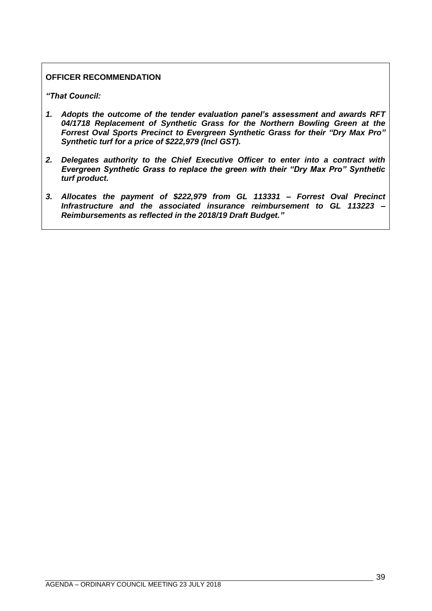## **OFFICER RECOMMENDATION**

*"That Council:* 

- *1. Adopts the outcome of the tender evaluation panel's assessment and awards RFT 04/1718 Replacement of Synthetic Grass for the Northern Bowling Green at the Forrest Oval Sports Precinct to Evergreen Synthetic Grass for their "Dry Max Pro" Synthetic turf for a price of \$222,979 (Incl GST).*
- *2. Delegates authority to the Chief Executive Officer to enter into a contract with Evergreen Synthetic Grass to replace the green with their "Dry Max Pro" Synthetic turf product.*
- *3. Allocates the payment of \$222,979 from GL 113331 – Forrest Oval Precinct Infrastructure and the associated insurance reimbursement to GL 113223 – Reimbursements as reflected in the 2018/19 Draft Budget."*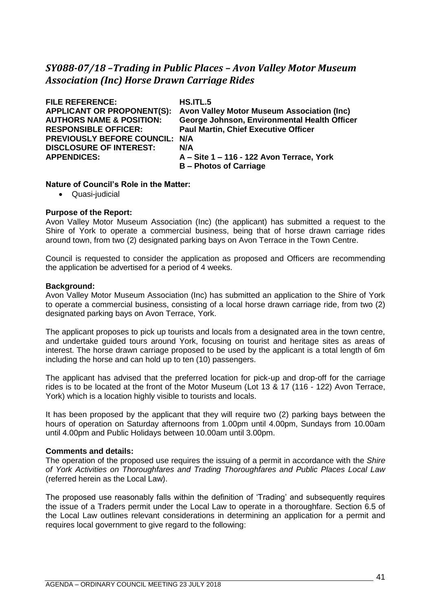# *SY088-07/18 –Trading in Public Places – Avon Valley Motor Museum Association (Inc) Horse Drawn Carriage Rides*

| <b>FILE REFERENCE:</b>              | HS.ITL.5                                     |
|-------------------------------------|----------------------------------------------|
| <b>APPLICANT OR PROPONENT(S):</b>   | Avon Valley Motor Museum Association (Inc)   |
| <b>AUTHORS NAME &amp; POSITION:</b> | George Johnson, Environmental Health Officer |
| <b>RESPONSIBLE OFFICER:</b>         | <b>Paul Martin, Chief Executive Officer</b>  |
| PREVIOUSLY BEFORE COUNCIL: N/A      |                                              |
| <b>DISCLOSURE OF INTEREST:</b>      | N/A                                          |
| <b>APPENDICES:</b>                  | A - Site 1 - 116 - 122 Avon Terrace, York    |
|                                     | <b>B</b> – Photos of Carriage                |

## **Nature of Council's Role in the Matter:**

• Quasi-judicial

## **Purpose of the Report:**

Avon Valley Motor Museum Association (Inc) (the applicant) has submitted a request to the Shire of York to operate a commercial business, being that of horse drawn carriage rides around town, from two (2) designated parking bays on Avon Terrace in the Town Centre.

Council is requested to consider the application as proposed and Officers are recommending the application be advertised for a period of 4 weeks.

#### **Background:**

Avon Valley Motor Museum Association (Inc) has submitted an application to the Shire of York to operate a commercial business, consisting of a local horse drawn carriage ride, from two (2) designated parking bays on Avon Terrace, York.

The applicant proposes to pick up tourists and locals from a designated area in the town centre, and undertake guided tours around York, focusing on tourist and heritage sites as areas of interest. The horse drawn carriage proposed to be used by the applicant is a total length of 6m including the horse and can hold up to ten (10) passengers.

The applicant has advised that the preferred location for pick-up and drop-off for the carriage rides is to be located at the front of the Motor Museum (Lot 13 & 17 (116 - 122) Avon Terrace, York) which is a location highly visible to tourists and locals.

It has been proposed by the applicant that they will require two (2) parking bays between the hours of operation on Saturday afternoons from 1.00pm until 4.00pm, Sundays from 10.00am until 4.00pm and Public Holidays between 10.00am until 3.00pm.

#### **Comments and details:**

The operation of the proposed use requires the issuing of a permit in accordance with the *Shire of York Activities on Thoroughfares and Trading Thoroughfares and Public Places Local Law* (referred herein as the Local Law).

The proposed use reasonably falls within the definition of 'Trading' and subsequently requires the issue of a Traders permit under the Local Law to operate in a thoroughfare. Section 6.5 of the Local Law outlines relevant considerations in determining an application for a permit and requires local government to give regard to the following: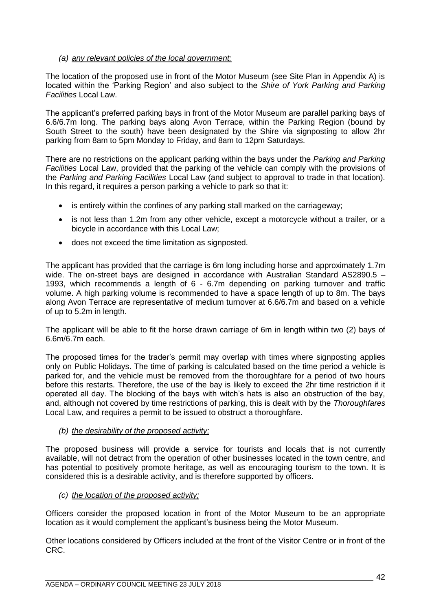## *(a) any relevant policies of the local government;*

The location of the proposed use in front of the Motor Museum (see Site Plan in Appendix A) is located within the 'Parking Region' and also subject to the *Shire of York Parking and Parking Facilities* Local Law.

The applicant's preferred parking bays in front of the Motor Museum are parallel parking bays of 6.6/6.7m long. The parking bays along Avon Terrace, within the Parking Region (bound by South Street to the south) have been designated by the Shire via signposting to allow 2hr parking from 8am to 5pm Monday to Friday, and 8am to 12pm Saturdays.

There are no restrictions on the applicant parking within the bays under the *Parking and Parking Facilities* Local Law, provided that the parking of the vehicle can comply with the provisions of the *Parking and Parking Facilities* Local Law (and subject to approval to trade in that location). In this regard, it requires a person parking a vehicle to park so that it:

- is entirely within the confines of any parking stall marked on the carriageway;
- is not less than 1.2m from any other vehicle, except a motorcycle without a trailer, or a bicycle in accordance with this Local Law;
- does not exceed the time limitation as signposted.

The applicant has provided that the carriage is 6m long including horse and approximately 1.7m wide. The on-street bays are designed in accordance with Australian Standard AS2890.5 – 1993, which recommends a length of 6 - 6.7m depending on parking turnover and traffic volume. A high parking volume is recommended to have a space length of up to 8m. The bays along Avon Terrace are representative of medium turnover at 6.6/6.7m and based on a vehicle of up to 5.2m in length.

The applicant will be able to fit the horse drawn carriage of 6m in length within two (2) bays of 6.6m/6.7m each.

The proposed times for the trader's permit may overlap with times where signposting applies only on Public Holidays. The time of parking is calculated based on the time period a vehicle is parked for, and the vehicle must be removed from the thoroughfare for a period of two hours before this restarts. Therefore, the use of the bay is likely to exceed the 2hr time restriction if it operated all day. The blocking of the bays with witch's hats is also an obstruction of the bay, and, although not covered by time restrictions of parking, this is dealt with by the *Thoroughfares* Local Law, and requires a permit to be issued to obstruct a thoroughfare.

## *(b) the desirability of the proposed activity;*

The proposed business will provide a service for tourists and locals that is not currently available, will not detract from the operation of other businesses located in the town centre, and has potential to positively promote heritage, as well as encouraging tourism to the town. It is considered this is a desirable activity, and is therefore supported by officers.

## *(c) the location of the proposed activity;*

Officers consider the proposed location in front of the Motor Museum to be an appropriate location as it would complement the applicant's business being the Motor Museum.

Other locations considered by Officers included at the front of the Visitor Centre or in front of the CRC.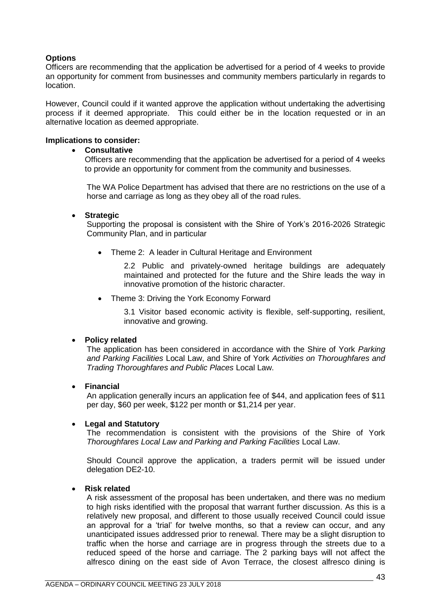# **Options**

Officers are recommending that the application be advertised for a period of 4 weeks to provide an opportunity for comment from businesses and community members particularly in regards to location.

However, Council could if it wanted approve the application without undertaking the advertising process if it deemed appropriate. This could either be in the location requested or in an alternative location as deemed appropriate.

## **Implications to consider:**

#### • **Consultative**

Officers are recommending that the application be advertised for a period of 4 weeks to provide an opportunity for comment from the community and businesses.

The WA Police Department has advised that there are no restrictions on the use of a horse and carriage as long as they obey all of the road rules.

## • **Strategic**

Supporting the proposal is consistent with the Shire of York's 2016-2026 Strategic Community Plan, and in particular

• Theme 2: A leader in Cultural Heritage and Environment

2.2 Public and privately-owned heritage buildings are adequately maintained and protected for the future and the Shire leads the way in innovative promotion of the historic character.

• Theme 3: Driving the York Economy Forward

3.1 Visitor based economic activity is flexible, self-supporting, resilient, innovative and growing.

## • **Policy related**

The application has been considered in accordance with the Shire of York *Parking and Parking Facilities* Local Law, and Shire of York *Activities on Thoroughfares and Trading Thoroughfares and Public Places* Local Law.

#### • **Financial**

An application generally incurs an application fee of \$44, and application fees of \$11 per day, \$60 per week, \$122 per month or \$1,214 per year.

#### • **Legal and Statutory**

The recommendation is consistent with the provisions of the Shire of York *Thoroughfares Local Law and Parking and Parking Facilities* Local Law.

Should Council approve the application, a traders permit will be issued under delegation DE2-10.

#### • **Risk related**

A risk assessment of the proposal has been undertaken, and there was no medium to high risks identified with the proposal that warrant further discussion. As this is a relatively new proposal, and different to those usually received Council could issue an approval for a 'trial' for twelve months, so that a review can occur, and any unanticipated issues addressed prior to renewal. There may be a slight disruption to traffic when the horse and carriage are in progress through the streets due to a reduced speed of the horse and carriage. The 2 parking bays will not affect the alfresco dining on the east side of Avon Terrace, the closest alfresco dining is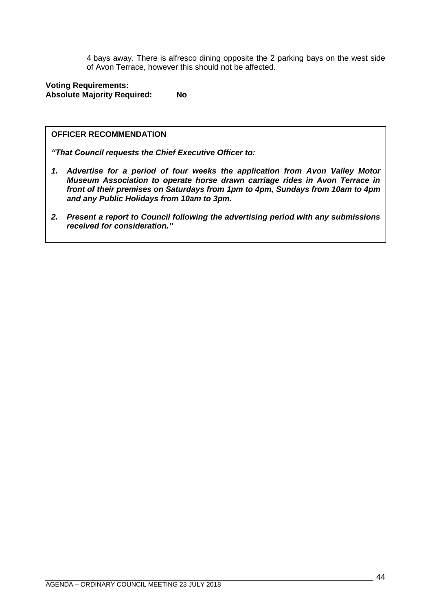4 bays away. There is alfresco dining opposite the 2 parking bays on the west side of Avon Terrace, however this should not be affected.

## **Voting Requirements: Absolute Majority Required: No**

#### **OFFICER RECOMMENDATION**

*"That Council requests the Chief Executive Officer to:*

- *1. Advertise for a period of four weeks the application from Avon Valley Motor Museum Association to operate horse drawn carriage rides in Avon Terrace in front of their premises on Saturdays from 1pm to 4pm, Sundays from 10am to 4pm and any Public Holidays from 10am to 3pm.*
- *2. Present a report to Council following the advertising period with any submissions received for consideration."*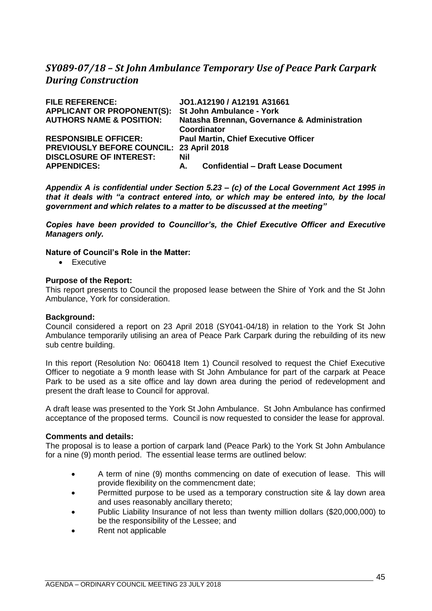# *SY089-07/18 – St John Ambulance Temporary Use of Peace Park Carpark During Construction*

| <b>FILE REFERENCE:</b>                          | JO1.A12190 / A12191 A31661                       |
|-------------------------------------------------|--------------------------------------------------|
| <b>APPLICANT OR PROPONENT(S):</b>               | <b>St John Ambulance - York</b>                  |
| <b>AUTHORS NAME &amp; POSITION:</b>             | Natasha Brennan, Governance & Administration     |
|                                                 | Coordinator                                      |
| <b>RESPONSIBLE OFFICER:</b>                     | <b>Paul Martin, Chief Executive Officer</b>      |
| <b>PREVIOUSLY BEFORE COUNCIL: 23 April 2018</b> |                                                  |
| <b>DISCLOSURE OF INTEREST:</b>                  | Nil                                              |
| <b>APPENDICES:</b>                              | <b>Confidential - Draft Lease Document</b><br>А. |

*Appendix A is confidential under Section 5.23 – (c) of the Local Government Act 1995 in that it deals with "a contract entered into, or which may be entered into, by the local government and which relates to a matter to be discussed at the meeting"* 

*Copies have been provided to Councillor's, the Chief Executive Officer and Executive Managers only.*

## **Nature of Council's Role in the Matter:**

• Executive

## **Purpose of the Report:**

This report presents to Council the proposed lease between the Shire of York and the St John Ambulance, York for consideration.

#### **Background:**

Council considered a report on 23 April 2018 (SY041-04/18) in relation to the York St John Ambulance temporarily utilising an area of Peace Park Carpark during the rebuilding of its new sub centre building.

In this report (Resolution No: 060418 Item 1) Council resolved to request the Chief Executive Officer to negotiate a 9 month lease with St John Ambulance for part of the carpark at Peace Park to be used as a site office and lay down area during the period of redevelopment and present the draft lease to Council for approval.

A draft lease was presented to the York St John Ambulance. St John Ambulance has confirmed acceptance of the proposed terms. Council is now requested to consider the lease for approval.

#### **Comments and details:**

The proposal is to lease a portion of carpark land (Peace Park) to the York St John Ambulance for a nine (9) month period. The essential lease terms are outlined below:

- A term of nine (9) months commencing on date of execution of lease. This will provide flexibility on the commencment date;
- Permitted purpose to be used as a temporary construction site & lay down area and uses reasonably ancillary thereto;
- Public Liability Insurance of not less than twenty million dollars (\$20,000,000) to be the responsibility of the Lessee; and
- Rent not applicable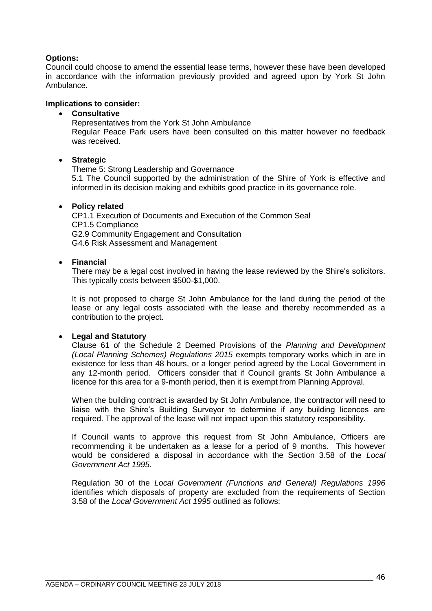## **Options:**

Council could choose to amend the essential lease terms, however these have been developed in accordance with the information previously provided and agreed upon by York St John Ambulance.

## **Implications to consider:**

## • **Consultative**

Representatives from the York St John Ambulance Regular Peace Park users have been consulted on this matter however no feedback was received.

## • **Strategic**

Theme 5: Strong Leadership and Governance

5.1 The Council supported by the administration of the Shire of York is effective and informed in its decision making and exhibits good practice in its governance role.

## • **Policy related**

CP1.1 Execution of Documents and Execution of the Common Seal CP1.5 Compliance G2.9 Community Engagement and Consultation G4.6 Risk Assessment and Management

## • **Financial**

There may be a legal cost involved in having the lease reviewed by the Shire's solicitors. This typically costs between \$500-\$1,000.

It is not proposed to charge St John Ambulance for the land during the period of the lease or any legal costs associated with the lease and thereby recommended as a contribution to the project.

## • **Legal and Statutory**

Clause 61 of the Schedule 2 Deemed Provisions of the *Planning and Development (Local Planning Schemes) Regulations 2015* exempts temporary works which in are in existence for less than 48 hours, or a longer period agreed by the Local Government in any 12-month period. Officers consider that if Council grants St John Ambulance a licence for this area for a 9-month period, then it is exempt from Planning Approval.

When the building contract is awarded by St John Ambulance, the contractor will need to liaise with the Shire's Building Surveyor to determine if any building licences are required. The approval of the lease will not impact upon this statutory responsibility.

If Council wants to approve this request from St John Ambulance, Officers are recommending it be undertaken as a lease for a period of 9 months. This however would be considered a disposal in accordance with the Section 3.58 of the *Local Government Act 1995*.

Regulation 30 of the *Local Government (Functions and General) Regulations 1996* identifies which disposals of property are excluded from the requirements of Section 3.58 of the *Local Government Act 1995* outlined as follows: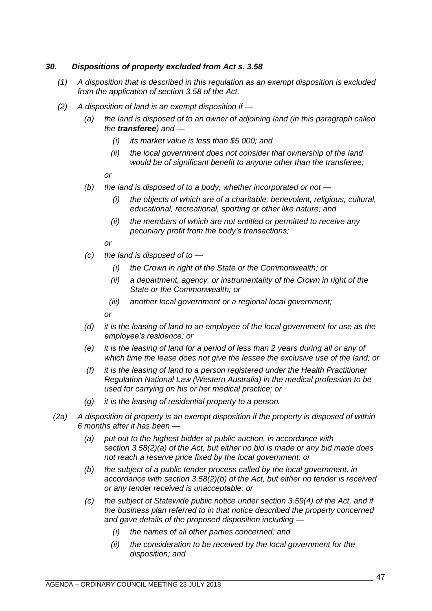## *30. Dispositions of property excluded from Act s. 3.58*

- *(1) A disposition that is described in this regulation as an exempt disposition is excluded from the application of section 3.58 of the Act.*
- *(2) A disposition of land is an exempt disposition if —*
	- *(a) the land is disposed of to an owner of adjoining land (in this paragraph called the transferee) and —*
		- *(i) its market value is less than \$5 000; and*
		- *(ii) the local government does not consider that ownership of the land would be of significant benefit to anyone other than the transferee;*

*or*

- *(b) the land is disposed of to a body, whether incorporated or not —*
	- *(i) the objects of which are of a charitable, benevolent, religious, cultural, educational, recreational, sporting or other like nature; and*
	- *(ii) the members of which are not entitled or permitted to receive any pecuniary profit from the body's transactions;*

*or*

- *(c) the land is disposed of to —*
	- *(i) the Crown in right of the State or the Commonwealth; or*
	- *(ii) a department, agency, or instrumentality of the Crown in right of the State or the Commonwealth; or*
	- *(iii) another local government or a regional local government;*

*or*

- *(d) it is the leasing of land to an employee of the local government for use as the employee's residence; or*
- *(e) it is the leasing of land for a period of less than 2 years during all or any of which time the lease does not give the lessee the exclusive use of the land; or*
- *(f) it is the leasing of land to a person registered under the Health Practitioner Regulation National Law (Western Australia) in the medical profession to be used for carrying on his or her medical practice; or*
- *(g) it is the leasing of residential property to a person.*
- *(2a) A disposition of property is an exempt disposition if the property is disposed of within 6 months after it has been —*
	- *(a) put out to the highest bidder at public auction, in accordance with section 3.58(2)(a) of the Act, but either no bid is made or any bid made does not reach a reserve price fixed by the local government; or*
	- *(b) the subject of a public tender process called by the local government, in accordance with section 3.58(2)(b) of the Act, but either no tender is received or any tender received is unacceptable; or*
	- *(c) the subject of Statewide public notice under section 3.59(4) of the Act, and if the business plan referred to in that notice described the property concerned and gave details of the proposed disposition including —*
		- *(i) the names of all other parties concerned; and*
		- *(ii) the consideration to be received by the local government for the disposition; and*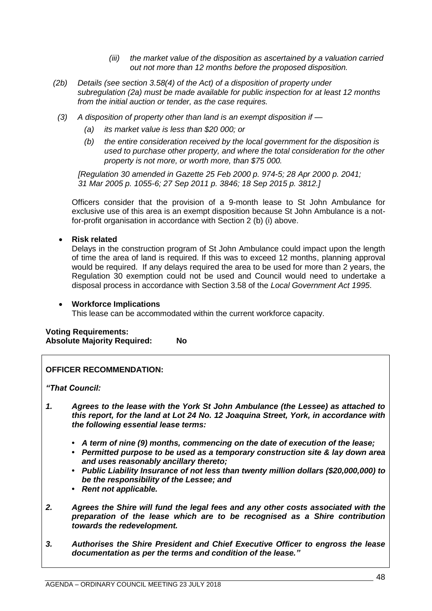- *(iii) the market value of the disposition as ascertained by a valuation carried out not more than 12 months before the proposed disposition.*
- *(2b) Details (see section 3.58(4) of the Act) of a disposition of property under subregulation (2a) must be made available for public inspection for at least 12 months from the initial auction or tender, as the case requires.*
- *(3) A disposition of property other than land is an exempt disposition if —*
	- *(a) its market value is less than \$20 000; or*
	- *(b) the entire consideration received by the local government for the disposition is used to purchase other property, and where the total consideration for the other property is not more, or worth more, than \$75 000.*

*[Regulation 30 amended in Gazette 25 Feb 2000 p. 974-5; 28 Apr 2000 p. 2041; 31 Mar 2005 p. 1055-6; 27 Sep 2011 p. 3846; 18 Sep 2015 p. 3812.]*

Officers consider that the provision of a 9-month lease to St John Ambulance for exclusive use of this area is an exempt disposition because St John Ambulance is a notfor-profit organisation in accordance with Section 2 (b) (i) above.

• **Risk related**

Delays in the construction program of St John Ambulance could impact upon the length of time the area of land is required. If this was to exceed 12 months, planning approval would be required. If any delays required the area to be used for more than 2 years, the Regulation 30 exemption could not be used and Council would need to undertake a disposal process in accordance with Section 3.58 of the *Local Government Act 1995*.

## • **Workforce Implications**

This lease can be accommodated within the current workforce capacity.

## **Voting Requirements: Absolute Majority Required: No**

## **OFFICER RECOMMENDATION:**

*"That Council:*

- *1. Agrees to the lease with the York St John Ambulance (the Lessee) as attached to this report, for the land at Lot 24 No. 12 Joaquina Street, York, in accordance with the following essential lease terms:* 
	- *• A term of nine (9) months, commencing on the date of execution of the lease;*
	- *• Permitted purpose to be used as a temporary construction site & lay down area and uses reasonably ancillary thereto;*
	- *• Public Liability Insurance of not less than twenty million dollars (\$20,000,000) to be the responsibility of the Lessee; and*
	- *• Rent not applicable.*
- *2. Agrees the Shire will fund the legal fees and any other costs associated with the preparation of the lease which are to be recognised as a Shire contribution towards the redevelopment.*
- *3. Authorises the Shire President and Chief Executive Officer to engross the lease documentation as per the terms and condition of the lease."*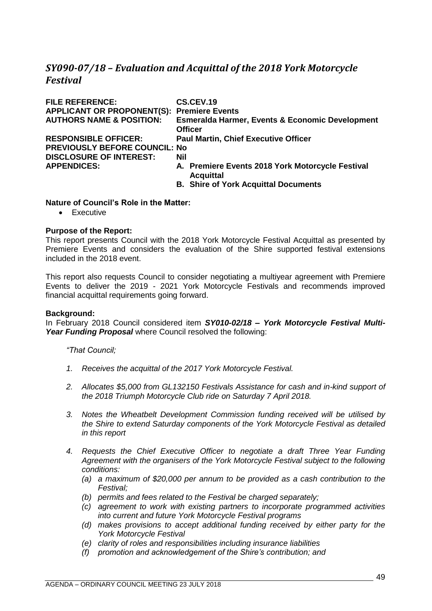# *SY090-07/18 – Evaluation and Acquittal of the 2018 York Motorcycle Festival*

| <b>FILE REFERENCE:</b>                            | CS.CEV.19                                                                    |
|---------------------------------------------------|------------------------------------------------------------------------------|
| <b>APPLICANT OR PROPONENT(S): Premiere Events</b> |                                                                              |
| <b>AUTHORS NAME &amp; POSITION:</b>               | <b>Esmeralda Harmer, Events &amp; Economic Development</b><br><b>Officer</b> |
| <b>RESPONSIBLE OFFICER:</b>                       | <b>Paul Martin, Chief Executive Officer</b>                                  |
| <b>PREVIOUSLY BEFORE COUNCIL: No</b>              |                                                                              |
| <b>DISCLOSURE OF INTEREST:</b>                    | <b>Nil</b>                                                                   |
| <b>APPENDICES:</b>                                | A. Premiere Events 2018 York Motorcycle Festival<br><b>Acquittal</b>         |
|                                                   | <b>B. Shire of York Acquittal Documents</b>                                  |

#### **Nature of Council's Role in the Matter:**

• Executive

#### **Purpose of the Report:**

This report presents Council with the 2018 York Motorcycle Festival Acquittal as presented by Premiere Events and considers the evaluation of the Shire supported festival extensions included in the 2018 event.

This report also requests Council to consider negotiating a multiyear agreement with Premiere Events to deliver the 2019 - 2021 York Motorcycle Festivals and recommends improved financial acquittal requirements going forward.

#### **Background:**

In February 2018 Council considered item *SY010-02/18 – York Motorcycle Festival Multi-Year Funding Proposal* where Council resolved the following:

*"That Council;*

- *1. Receives the acquittal of the 2017 York Motorcycle Festival.*
- *2. Allocates \$5,000 from GL132150 Festivals Assistance for cash and in-kind support of the 2018 Triumph Motorcycle Club ride on Saturday 7 April 2018.*
- *3. Notes the Wheatbelt Development Commission funding received will be utilised by the Shire to extend Saturday components of the York Motorcycle Festival as detailed in this report*
- *4. Requests the Chief Executive Officer to negotiate a draft Three Year Funding Agreement with the organisers of the York Motorcycle Festival subject to the following conditions:*
	- *(a) a maximum of \$20,000 per annum to be provided as a cash contribution to the Festival;*
	- *(b) permits and fees related to the Festival be charged separately;*
	- *(c) agreement to work with existing partners to incorporate programmed activities into current and future York Motorcycle Festival programs*
	- *(d) makes provisions to accept additional funding received by either party for the York Motorcycle Festival*
	- *(e) clarity of roles and responsibilities including insurance liabilities*
	- *(f) promotion and acknowledgement of the Shire's contribution; and*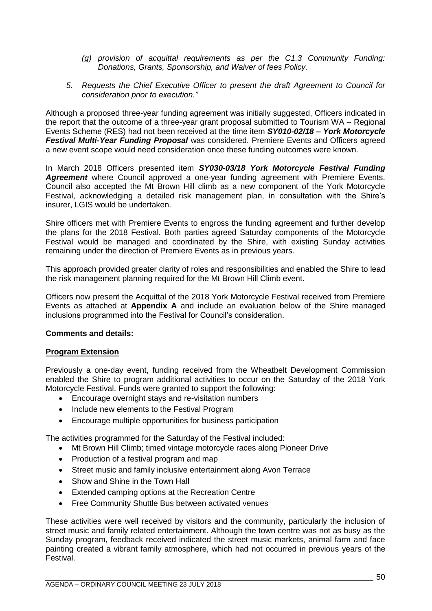- *(g) provision of acquittal requirements as per the C1.3 Community Funding: Donations, Grants, Sponsorship, and Waiver of fees Policy.*
- *5. Requests the Chief Executive Officer to present the draft Agreement to Council for consideration prior to execution."*

Although a proposed three-year funding agreement was initially suggested, Officers indicated in the report that the outcome of a three-year grant proposal submitted to Tourism WA – Regional Events Scheme (RES) had not been received at the time item *SY010-02/18 – York Motorcycle Festival Multi-Year Funding Proposal* was considered. Premiere Events and Officers agreed a new event scope would need consideration once these funding outcomes were known.

In March 2018 Officers presented item *SY030-03/18 York Motorcycle Festival Funding Agreement* where Council approved a one-year funding agreement with Premiere Events. Council also accepted the Mt Brown Hill climb as a new component of the York Motorcycle Festival, acknowledging a detailed risk management plan, in consultation with the Shire's insurer, LGIS would be undertaken.

Shire officers met with Premiere Events to engross the funding agreement and further develop the plans for the 2018 Festival. Both parties agreed Saturday components of the Motorcycle Festival would be managed and coordinated by the Shire, with existing Sunday activities remaining under the direction of Premiere Events as in previous years.

This approach provided greater clarity of roles and responsibilities and enabled the Shire to lead the risk management planning required for the Mt Brown Hill Climb event.

Officers now present the Acquittal of the 2018 York Motorcycle Festival received from Premiere Events as attached at **Appendix A** and include an evaluation below of the Shire managed inclusions programmed into the Festival for Council's consideration.

## **Comments and details:**

## **Program Extension**

Previously a one-day event, funding received from the Wheatbelt Development Commission enabled the Shire to program additional activities to occur on the Saturday of the 2018 York Motorcycle Festival. Funds were granted to support the following:

- Encourage overnight stays and re-visitation numbers
- Include new elements to the Festival Program
- Encourage multiple opportunities for business participation

The activities programmed for the Saturday of the Festival included:

- Mt Brown Hill Climb; timed vintage motorcycle races along Pioneer Drive
- Production of a festival program and map
- Street music and family inclusive entertainment along Avon Terrace
- Show and Shine in the Town Hall
- Extended camping options at the Recreation Centre
- Free Community Shuttle Bus between activated venues

These activities were well received by visitors and the community, particularly the inclusion of street music and family related entertainment. Although the town centre was not as busy as the Sunday program, feedback received indicated the street music markets, animal farm and face painting created a vibrant family atmosphere, which had not occurred in previous years of the Festival.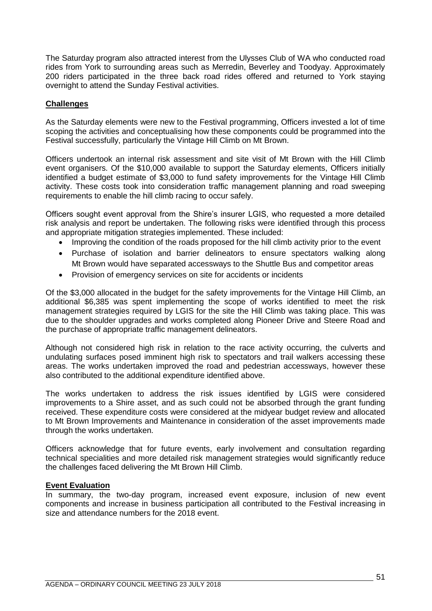The Saturday program also attracted interest from the Ulysses Club of WA who conducted road rides from York to surrounding areas such as Merredin, Beverley and Toodyay. Approximately 200 riders participated in the three back road rides offered and returned to York staying overnight to attend the Sunday Festival activities.

## **Challenges**

As the Saturday elements were new to the Festival programming, Officers invested a lot of time scoping the activities and conceptualising how these components could be programmed into the Festival successfully, particularly the Vintage Hill Climb on Mt Brown.

Officers undertook an internal risk assessment and site visit of Mt Brown with the Hill Climb event organisers. Of the \$10,000 available to support the Saturday elements, Officers initially identified a budget estimate of \$3,000 to fund safety improvements for the Vintage Hill Climb activity. These costs took into consideration traffic management planning and road sweeping requirements to enable the hill climb racing to occur safely.

Officers sought event approval from the Shire's insurer LGIS, who requested a more detailed risk analysis and report be undertaken. The following risks were identified through this process and appropriate mitigation strategies implemented. These included:

- Improving the condition of the roads proposed for the hill climb activity prior to the event
- Purchase of isolation and barrier delineators to ensure spectators walking along Mt Brown would have separated accessways to the Shuttle Bus and competitor areas
- Provision of emergency services on site for accidents or incidents

Of the \$3,000 allocated in the budget for the safety improvements for the Vintage Hill Climb, an additional \$6,385 was spent implementing the scope of works identified to meet the risk management strategies required by LGIS for the site the Hill Climb was taking place. This was due to the shoulder upgrades and works completed along Pioneer Drive and Steere Road and the purchase of appropriate traffic management delineators.

Although not considered high risk in relation to the race activity occurring, the culverts and undulating surfaces posed imminent high risk to spectators and trail walkers accessing these areas. The works undertaken improved the road and pedestrian accessways, however these also contributed to the additional expenditure identified above.

The works undertaken to address the risk issues identified by LGIS were considered improvements to a Shire asset, and as such could not be absorbed through the grant funding received. These expenditure costs were considered at the midyear budget review and allocated to Mt Brown Improvements and Maintenance in consideration of the asset improvements made through the works undertaken.

Officers acknowledge that for future events, early involvement and consultation regarding technical specialities and more detailed risk management strategies would significantly reduce the challenges faced delivering the Mt Brown Hill Climb.

## **Event Evaluation**

In summary, the two-day program, increased event exposure, inclusion of new event components and increase in business participation all contributed to the Festival increasing in size and attendance numbers for the 2018 event.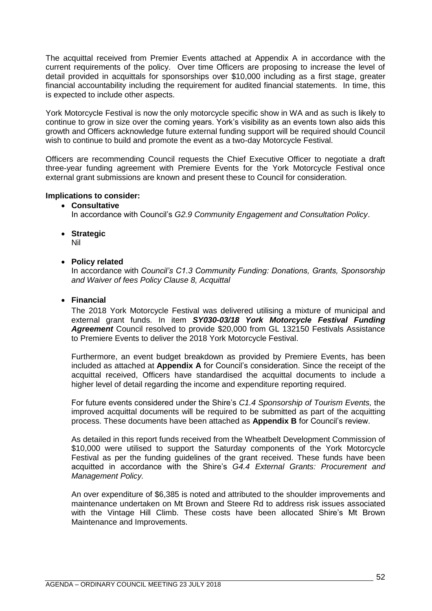The acquittal received from Premier Events attached at Appendix A in accordance with the current requirements of the policy. Over time Officers are proposing to increase the level of detail provided in acquittals for sponsorships over \$10,000 including as a first stage, greater financial accountability including the requirement for audited financial statements. In time, this is expected to include other aspects.

York Motorcycle Festival is now the only motorcycle specific show in WA and as such is likely to continue to grow in size over the coming years. York's visibility as an events town also aids this growth and Officers acknowledge future external funding support will be required should Council wish to continue to build and promote the event as a two-day Motorcycle Festival.

Officers are recommending Council requests the Chief Executive Officer to negotiate a draft three-year funding agreement with Premiere Events for the York Motorcycle Festival once external grant submissions are known and present these to Council for consideration.

## **Implications to consider:**

• **Consultative**

In accordance with Council's *G2.9 Community Engagement and Consultation Policy*.

• **Strategic**

Nil

• **Policy related**

In accordance with *Council's C1.3 Community Funding: Donations, Grants, Sponsorship and Waiver of fees Policy Clause 8, Acquittal*

• **Financial**

The 2018 York Motorcycle Festival was delivered utilising a mixture of municipal and external grant funds. In item *SY030-03/18 York Motorcycle Festival Funding Agreement* Council resolved to provide \$20,000 from GL 132150 Festivals Assistance to Premiere Events to deliver the 2018 York Motorcycle Festival.

Furthermore, an event budget breakdown as provided by Premiere Events, has been included as attached at **Appendix A** for Council's consideration. Since the receipt of the acquittal received, Officers have standardised the acquittal documents to include a higher level of detail regarding the income and expenditure reporting required.

For future events considered under the Shire's *C1.4 Sponsorship of Tourism Events,* the improved acquittal documents will be required to be submitted as part of the acquitting process. These documents have been attached as **Appendix B** for Council's review.

As detailed in this report funds received from the Wheatbelt Development Commission of \$10,000 were utilised to support the Saturday components of the York Motorcycle Festival as per the funding guidelines of the grant received. These funds have been acquitted in accordance with the Shire's *G4.4 External Grants: Procurement and Management Policy.* 

An over expenditure of \$6,385 is noted and attributed to the shoulder improvements and maintenance undertaken on Mt Brown and Steere Rd to address risk issues associated with the Vintage Hill Climb. These costs have been allocated Shire's Mt Brown Maintenance and Improvements.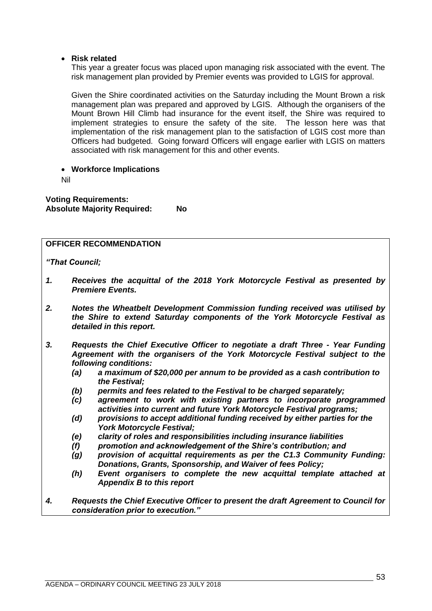## • **Risk related**

This year a greater focus was placed upon managing risk associated with the event. The risk management plan provided by Premier events was provided to LGIS for approval.

Given the Shire coordinated activities on the Saturday including the Mount Brown a risk management plan was prepared and approved by LGIS. Although the organisers of the Mount Brown Hill Climb had insurance for the event itself, the Shire was required to implement strategies to ensure the safety of the site. The lesson here was that implementation of the risk management plan to the satisfaction of LGIS cost more than Officers had budgeted. Going forward Officers will engage earlier with LGIS on matters associated with risk management for this and other events.

• **Workforce Implications**

Nil

**Voting Requirements: Absolute Majority Required: No**

## **OFFICER RECOMMENDATION**

*"That Council;*

- *1. Receives the acquittal of the 2018 York Motorcycle Festival as presented by Premiere Events.*
- *2. Notes the Wheatbelt Development Commission funding received was utilised by the Shire to extend Saturday components of the York Motorcycle Festival as detailed in this report.*
- *3. Requests the Chief Executive Officer to negotiate a draft Three - Year Funding Agreement with the organisers of the York Motorcycle Festival subject to the following conditions:*
	- *(a) a maximum of \$20,000 per annum to be provided as a cash contribution to the Festival;*
	- *(b) permits and fees related to the Festival to be charged separately;*
	- *(c) agreement to work with existing partners to incorporate programmed activities into current and future York Motorcycle Festival programs;*
	- *(d) provisions to accept additional funding received by either parties for the York Motorcycle Festival;*
	- *(e) clarity of roles and responsibilities including insurance liabilities*
	- *(f) promotion and acknowledgement of the Shire's contribution; and*
	- *(g) provision of acquittal requirements as per the C1.3 Community Funding: Donations, Grants, Sponsorship, and Waiver of fees Policy;*
	- *(h) Event organisers to complete the new acquittal template attached at Appendix B to this report*
- *4. Requests the Chief Executive Officer to present the draft Agreement to Council for consideration prior to execution."*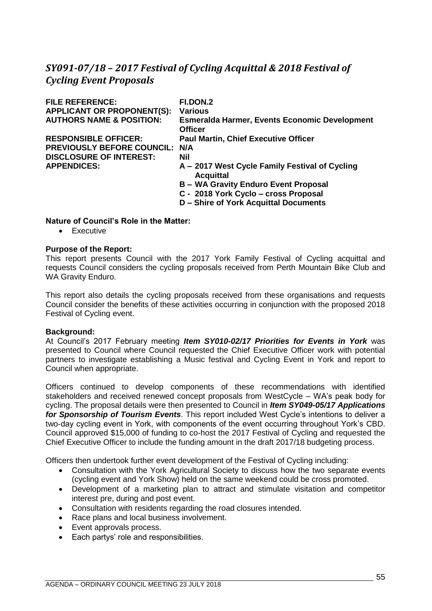# *SY091-07/18 – 2017 Festival of Cycling Acquittal & 2018 Festival of Cycling Event Proposals*

| <b>FILE REFERENCE:</b>              | FI.DON.2                                                               |
|-------------------------------------|------------------------------------------------------------------------|
| <b>APPLICANT OR PROPONENT(S):</b>   | <b>Various</b>                                                         |
| <b>AUTHORS NAME &amp; POSITION:</b> | <b>Esmeralda Harmer, Events Economic Development</b><br><b>Officer</b> |
| <b>RESPONSIBLE OFFICER:</b>         | <b>Paul Martin, Chief Executive Officer</b>                            |
| PREVIOUSLY BEFORE COUNCIL: N/A      |                                                                        |
| <b>DISCLOSURE OF INTEREST:</b>      | Nil                                                                    |
| <b>APPENDICES:</b>                  | A - 2017 West Cycle Family Festival of Cycling<br><b>Acquittal</b>     |
|                                     | <b>B-WA Gravity Enduro Event Proposal</b>                              |
|                                     | C - 2018 York Cyclo - cross Proposal                                   |
|                                     | D - Shire of York Acquittal Documents                                  |

## **Nature of Council's Role in the Matter:**

• Executive

#### **Purpose of the Report:**

This report presents Council with the 2017 York Family Festival of Cycling acquittal and requests Council considers the cycling proposals received from Perth Mountain Bike Club and WA Gravity Enduro.

This report also details the cycling proposals received from these organisations and requests Council consider the benefits of these activities occurring in conjunction with the proposed 2018 Festival of Cycling event.

#### **Background:**

At Council's 2017 February meeting *Item SY010-02/17 Priorities for Events in York* was presented to Council where Council requested the Chief Executive Officer work with potential partners to investigate establishing a Music festival and Cycling Event in York and report to Council when appropriate.

Officers continued to develop components of these recommendations with identified stakeholders and received renewed concept proposals from WestCycle – WA's peak body for cycling. The proposal details were then presented to Council in *Item SY049-05/17 Applications for Sponsorship of Tourism Events*. This report included West Cycle's intentions to deliver a two-day cycling event in York, with components of the event occurring throughout York's CBD. Council approved \$15,000 of funding to co-host the 2017 Festival of Cycling and requested the Chief Executive Officer to include the funding amount in the draft 2017/18 budgeting process.

Officers then undertook further event development of the Festival of Cycling including:

- Consultation with the York Agricultural Society to discuss how the two separate events (cycling event and York Show) held on the same weekend could be cross promoted.
- Development of a marketing plan to attract and stimulate visitation and competitor interest pre, during and post event.
- Consultation with residents regarding the road closures intended.
- Race plans and local business involvement.
- Event approvals process.
- Each partys' role and responsibilities.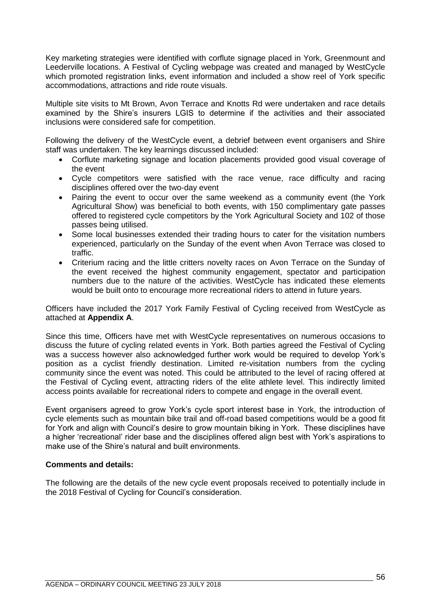Key marketing strategies were identified with corflute signage placed in York, Greenmount and Leederville locations. A Festival of Cycling webpage was created and managed by WestCycle which promoted registration links, event information and included a show reel of York specific accommodations, attractions and ride route visuals.

Multiple site visits to Mt Brown, Avon Terrace and Knotts Rd were undertaken and race details examined by the Shire's insurers LGIS to determine if the activities and their associated inclusions were considered safe for competition.

Following the delivery of the WestCycle event, a debrief between event organisers and Shire staff was undertaken. The key learnings discussed included:

- Corflute marketing signage and location placements provided good visual coverage of the event
- Cycle competitors were satisfied with the race venue, race difficulty and racing disciplines offered over the two-day event
- Pairing the event to occur over the same weekend as a community event (the York Agricultural Show) was beneficial to both events, with 150 complimentary gate passes offered to registered cycle competitors by the York Agricultural Society and 102 of those passes being utilised.
- Some local businesses extended their trading hours to cater for the visitation numbers experienced, particularly on the Sunday of the event when Avon Terrace was closed to traffic.
- Criterium racing and the little critters novelty races on Avon Terrace on the Sunday of the event received the highest community engagement, spectator and participation numbers due to the nature of the activities. WestCycle has indicated these elements would be built onto to encourage more recreational riders to attend in future years.

Officers have included the 2017 York Family Festival of Cycling received from WestCycle as attached at **Appendix A**.

Since this time, Officers have met with WestCycle representatives on numerous occasions to discuss the future of cycling related events in York. Both parties agreed the Festival of Cycling was a success however also acknowledged further work would be required to develop York's position as a cyclist friendly destination. Limited re-visitation numbers from the cycling community since the event was noted. This could be attributed to the level of racing offered at the Festival of Cycling event, attracting riders of the elite athlete level. This indirectly limited access points available for recreational riders to compete and engage in the overall event.

Event organisers agreed to grow York's cycle sport interest base in York, the introduction of cycle elements such as mountain bike trail and off-road based competitions would be a good fit for York and align with Council's desire to grow mountain biking in York. These disciplines have a higher 'recreational' rider base and the disciplines offered align best with York's aspirations to make use of the Shire's natural and built environments.

## **Comments and details:**

The following are the details of the new cycle event proposals received to potentially include in the 2018 Festival of Cycling for Council's consideration.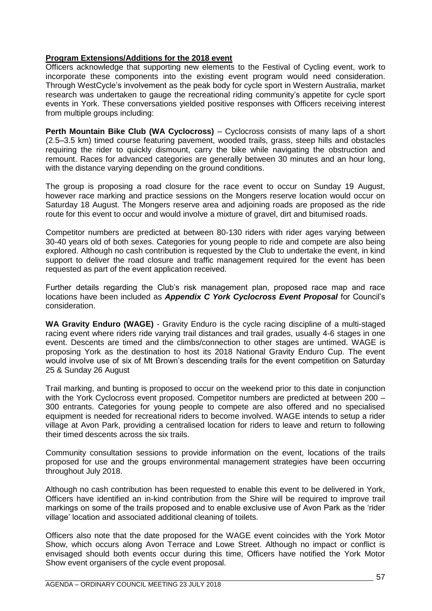## **Program Extensions/Additions for the 2018 event**

Officers acknowledge that supporting new elements to the Festival of Cycling event, work to incorporate these components into the existing event program would need consideration. Through WestCycle's involvement as the peak body for cycle sport in Western Australia, market research was undertaken to gauge the recreational riding community's appetite for cycle sport events in York. These conversations yielded positive responses with Officers receiving interest from multiple groups including:

**Perth Mountain Bike Club (WA Cyclocross)** – Cyclocross consists of many laps of a short (2.5–3.5 km) timed course featuring pavement, wooded trails, grass, steep hills and obstacles requiring the rider to quickly dismount, carry the bike while navigating the obstruction and remount. Races for advanced categories are generally between 30 minutes and an hour long, with the distance varying depending on the ground conditions.

The group is proposing a road closure for the race event to occur on Sunday 19 August, however race marking and practice sessions on the Mongers reserve location would occur on Saturday 18 August. The Mongers reserve area and adjoining roads are proposed as the ride route for this event to occur and would involve a mixture of gravel, dirt and bitumised roads.

Competitor numbers are predicted at between 80-130 riders with rider ages varying between 30-40 years old of both sexes. Categories for young people to ride and compete are also being explored. Although no cash contribution is requested by the Club to undertake the event, in kind support to deliver the road closure and traffic management required for the event has been requested as part of the event application received.

Further details regarding the Club's risk management plan, proposed race map and race locations have been included as *Appendix C York Cyclocross Event Proposal* for Council's consideration.

**WA Gravity Enduro (WAGE)** - Gravity Enduro is the cycle racing discipline of a multi-staged racing event where riders ride varying trail distances and trail grades, usually 4-6 stages in one event. Descents are timed and the climbs/connection to other stages are untimed. WAGE is proposing York as the destination to host its 2018 National Gravity Enduro Cup. The event would involve use of six of Mt Brown's descending trails for the event competition on Saturday 25 & Sunday 26 August

Trail marking, and bunting is proposed to occur on the weekend prior to this date in conjunction with the York Cyclocross event proposed. Competitor numbers are predicted at between 200 -300 entrants. Categories for young people to compete are also offered and no specialised equipment is needed for recreational riders to become involved. WAGE intends to setup a rider village at Avon Park, providing a centralised location for riders to leave and return to following their timed descents across the six trails.

Community consultation sessions to provide information on the event, locations of the trails proposed for use and the groups environmental management strategies have been occurring throughout July 2018.

Although no cash contribution has been requested to enable this event to be delivered in York, Officers have identified an in-kind contribution from the Shire will be required to improve trail markings on some of the trails proposed and to enable exclusive use of Avon Park as the 'rider village' location and associated additional cleaning of toilets.

Officers also note that the date proposed for the WAGE event coincides with the York Motor Show, which occurs along Avon Terrace and Lowe Street. Although no impact or conflict is envisaged should both events occur during this time, Officers have notified the York Motor Show event organisers of the cycle event proposal.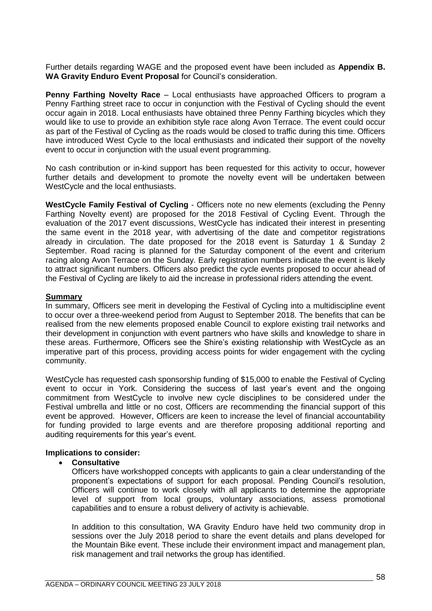Further details regarding WAGE and the proposed event have been included as **Appendix B. WA Gravity Enduro Event Proposal** for Council's consideration.

**Penny Farthing Novelty Race** – Local enthusiasts have approached Officers to program a Penny Farthing street race to occur in conjunction with the Festival of Cycling should the event occur again in 2018. Local enthusiasts have obtained three Penny Farthing bicycles which they would like to use to provide an exhibition style race along Avon Terrace. The event could occur as part of the Festival of Cycling as the roads would be closed to traffic during this time. Officers have introduced West Cycle to the local enthusiasts and indicated their support of the novelty event to occur in conjunction with the usual event programming.

No cash contribution or in-kind support has been requested for this activity to occur, however further details and development to promote the novelty event will be undertaken between WestCycle and the local enthusiasts.

**WestCycle Family Festival of Cycling** - Officers note no new elements (excluding the Penny Farthing Novelty event) are proposed for the 2018 Festival of Cycling Event. Through the evaluation of the 2017 event discussions, WestCycle has indicated their interest in presenting the same event in the 2018 year, with advertising of the date and competitor registrations already in circulation. The date proposed for the 2018 event is Saturday 1 & Sunday 2 September. Road racing is planned for the Saturday component of the event and criterium racing along Avon Terrace on the Sunday. Early registration numbers indicate the event is likely to attract significant numbers. Officers also predict the cycle events proposed to occur ahead of the Festival of Cycling are likely to aid the increase in professional riders attending the event.

#### **Summary**

In summary, Officers see merit in developing the Festival of Cycling into a multidiscipline event to occur over a three-weekend period from August to September 2018. The benefits that can be realised from the new elements proposed enable Council to explore existing trail networks and their development in conjunction with event partners who have skills and knowledge to share in these areas. Furthermore, Officers see the Shire's existing relationship with WestCycle as an imperative part of this process, providing access points for wider engagement with the cycling community.

WestCycle has requested cash sponsorship funding of \$15,000 to enable the Festival of Cycling event to occur in York. Considering the success of last year's event and the ongoing commitment from WestCycle to involve new cycle disciplines to be considered under the Festival umbrella and little or no cost, Officers are recommending the financial support of this event be approved. However, Officers are keen to increase the level of financial accountability for funding provided to large events and are therefore proposing additional reporting and auditing requirements for this year's event.

## **Implications to consider:**

## • **Consultative**

Officers have workshopped concepts with applicants to gain a clear understanding of the proponent's expectations of support for each proposal. Pending Council's resolution, Officers will continue to work closely with all applicants to determine the appropriate level of support from local groups, voluntary associations, assess promotional capabilities and to ensure a robust delivery of activity is achievable.

In addition to this consultation, WA Gravity Enduro have held two community drop in sessions over the July 2018 period to share the event details and plans developed for the Mountain Bike event. These include their environment impact and management plan, risk management and trail networks the group has identified.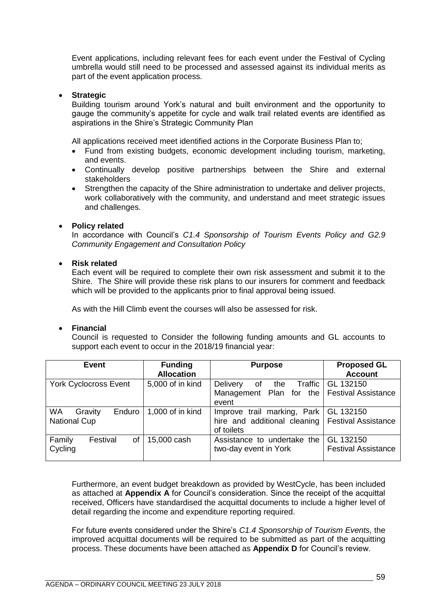Event applications, including relevant fees for each event under the Festival of Cycling umbrella would still need to be processed and assessed against its individual merits as part of the event application process.

## • **Strategic**

Building tourism around York's natural and built environment and the opportunity to gauge the community's appetite for cycle and walk trail related events are identified as aspirations in the Shire's Strategic Community Plan

All applications received meet identified actions in the Corporate Business Plan to;

- Fund from existing budgets, economic development including tourism, marketing, and events.
- Continually develop positive partnerships between the Shire and external stakeholders
- Strengthen the capacity of the Shire administration to undertake and deliver projects, work collaboratively with the community, and understand and meet strategic issues and challenges.

## • **Policy related**

In accordance with Council's *C1.4 Sponsorship of Tourism Events Policy and G2.9 Community Engagement and Consultation Policy*

## • **Risk related**

Each event will be required to complete their own risk assessment and submit it to the Shire. The Shire will provide these risk plans to our insurers for comment and feedback which will be provided to the applicants prior to final approval being issued.

As with the Hill Climb event the courses will also be assessed for risk.

#### • **Financial**

Council is requested to Consider the following funding amounts and GL accounts to support each event to occur in the 2018/19 financial year:

| <b>Event</b>                   | <b>Funding</b><br><b>Allocation</b> | <b>Purpose</b>                                     | <b>Proposed GL</b><br><b>Account</b> |
|--------------------------------|-------------------------------------|----------------------------------------------------|--------------------------------------|
|                                |                                     |                                                    |                                      |
| <b>York Cyclocross Event</b>   | 5,000 of in kind                    | the $Traffic$ GL 132150<br>Delivery<br>of          |                                      |
|                                |                                     | Management Plan for the   Festival Assistance      |                                      |
|                                |                                     | event                                              |                                      |
| <b>WA</b><br>Enduro<br>Gravity | 1,000 of in kind                    | Improve trail marking, Park   GL 132150            |                                      |
| <b>National Cup</b>            |                                     | hire and additional cleaning   Festival Assistance |                                      |
|                                |                                     | of toilets                                         |                                      |
| Family<br>οf<br>Festival       | 15,000 cash                         | Assistance to undertake the                        | GL 132150                            |
| Cycling                        |                                     | two-day event in York                              | <b>Festival Assistance</b>           |
|                                |                                     |                                                    |                                      |

Furthermore, an event budget breakdown as provided by WestCycle, has been included as attached at **Appendix A** for Council's consideration. Since the receipt of the acquittal received, Officers have standardised the acquittal documents to include a higher level of detail regarding the income and expenditure reporting required.

For future events considered under the Shire's *C1.4 Sponsorship of Tourism Events,* the improved acquittal documents will be required to be submitted as part of the acquitting process. These documents have been attached as **Appendix D** for Council's review.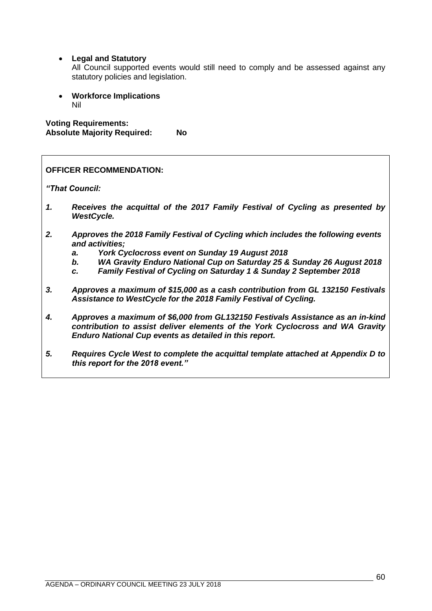• **Legal and Statutory**

All Council supported events would still need to comply and be assessed against any statutory policies and legislation.

• **Workforce Implications** Nil

**Voting Requirements: Absolute Majority Required: No**

|    | <b>OFFICER RECOMMENDATION:</b>                                                                                                                                                                                                                                                                                         |
|----|------------------------------------------------------------------------------------------------------------------------------------------------------------------------------------------------------------------------------------------------------------------------------------------------------------------------|
|    | "That Council:                                                                                                                                                                                                                                                                                                         |
| 1. | Receives the acquittal of the 2017 Family Festival of Cycling as presented by<br><b>WestCycle.</b>                                                                                                                                                                                                                     |
| 2. | Approves the 2018 Family Festival of Cycling which includes the following events<br>and activities;<br>York Cyclocross event on Sunday 19 August 2018<br>a.<br>WA Gravity Enduro National Cup on Saturday 25 & Sunday 26 August 2018<br>b.<br>Family Festival of Cycling on Saturday 1 & Sunday 2 September 2018<br>C. |
| 3. | Approves a maximum of \$15,000 as a cash contribution from GL 132150 Festivals<br>Assistance to WestCycle for the 2018 Family Festival of Cycling.                                                                                                                                                                     |
| 4. | Approves a maximum of \$6,000 from GL132150 Festivals Assistance as an in-kind<br>contribution to assist deliver elements of the York Cyclocross and WA Gravity<br>Enduro National Cup events as detailed in this report.                                                                                              |

*5. Requires Cycle West to complete the acquittal template attached at Appendix D to this report for the 2018 event."*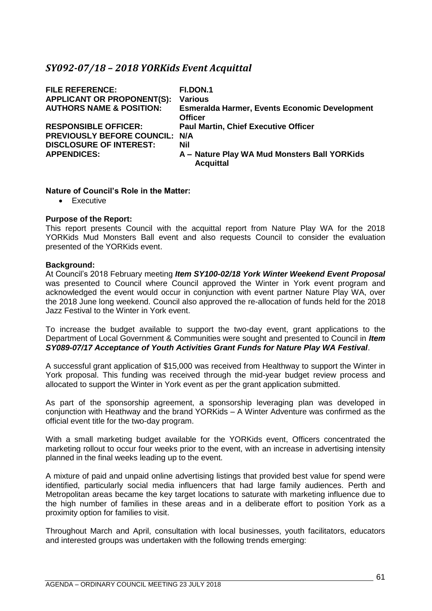# *SY092-07/18 – 2018 YORKids Event Acquittal*

| <b>FILE REFERENCE:</b><br><b>APPLICANT OR PROPONENT(S):</b><br><b>AUTHORS NAME &amp; POSITION:</b> | <b>FI.DON.1</b><br><b>Various</b><br><b>Esmeralda Harmer, Events Economic Development</b><br><b>Officer</b> |
|----------------------------------------------------------------------------------------------------|-------------------------------------------------------------------------------------------------------------|
| <b>RESPONSIBLE OFFICER:</b><br><b>PREVIOUSLY BEFORE COUNCIL:</b>                                   | <b>Paul Martin, Chief Executive Officer</b><br>N/A                                                          |
| <b>DISCLOSURE OF INTEREST:</b><br><b>APPENDICES:</b>                                               | Nil<br>A - Nature Play WA Mud Monsters Ball YORKids<br><b>Acquittal</b>                                     |

## **Nature of Council's Role in the Matter:**

• Executive

## **Purpose of the Report:**

This report presents Council with the acquittal report from Nature Play WA for the 2018 YORKids Mud Monsters Ball event and also requests Council to consider the evaluation presented of the YORKids event.

#### **Background:**

At Council's 2018 February meeting *Item SY100-02/18 York Winter Weekend Event Proposal* was presented to Council where Council approved the Winter in York event program and acknowledged the event would occur in conjunction with event partner Nature Play WA, over the 2018 June long weekend. Council also approved the re-allocation of funds held for the 2018 Jazz Festival to the Winter in York event.

To increase the budget available to support the two-day event, grant applications to the Department of Local Government & Communities were sought and presented to Council in *Item SY089-07/17 Acceptance of Youth Activities Grant Funds for Nature Play WA Festival*.

A successful grant application of \$15,000 was received from Healthway to support the Winter in York proposal. This funding was received through the mid-year budget review process and allocated to support the Winter in York event as per the grant application submitted.

As part of the sponsorship agreement, a sponsorship leveraging plan was developed in conjunction with Heathway and the brand YORKids – A Winter Adventure was confirmed as the official event title for the two-day program.

With a small marketing budget available for the YORKids event, Officers concentrated the marketing rollout to occur four weeks prior to the event, with an increase in advertising intensity planned in the final weeks leading up to the event.

A mixture of paid and unpaid online advertising listings that provided best value for spend were identified, particularly social media influencers that had large family audiences. Perth and Metropolitan areas became the key target locations to saturate with marketing influence due to the high number of families in these areas and in a deliberate effort to position York as a proximity option for families to visit.

Throughout March and April, consultation with local businesses, youth facilitators, educators and interested groups was undertaken with the following trends emerging: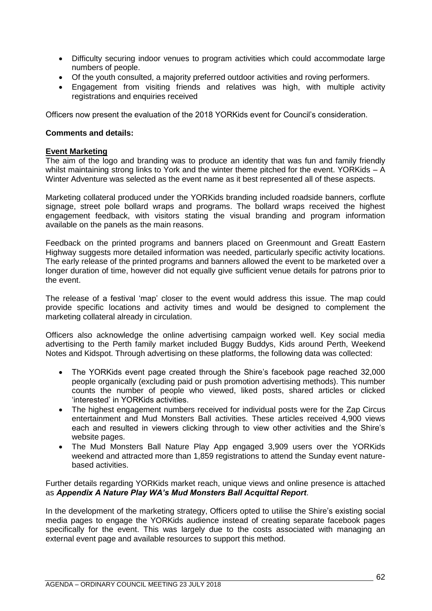- Difficulty securing indoor venues to program activities which could accommodate large numbers of people.
- Of the youth consulted, a majority preferred outdoor activities and roving performers.
- Engagement from visiting friends and relatives was high, with multiple activity registrations and enquiries received

Officers now present the evaluation of the 2018 YORKids event for Council's consideration.

## **Comments and details:**

## **Event Marketing**

The aim of the logo and branding was to produce an identity that was fun and family friendly whilst maintaining strong links to York and the winter theme pitched for the event. YORKids – A Winter Adventure was selected as the event name as it best represented all of these aspects.

Marketing collateral produced under the YORKids branding included roadside banners, corflute signage, street pole bollard wraps and programs. The bollard wraps received the highest engagement feedback, with visitors stating the visual branding and program information available on the panels as the main reasons.

Feedback on the printed programs and banners placed on Greenmount and Greatt Eastern Highway suggests more detailed information was needed, particularly specific activity locations. The early release of the printed programs and banners allowed the event to be marketed over a longer duration of time, however did not equally give sufficient venue details for patrons prior to the event.

The release of a festival 'map' closer to the event would address this issue. The map could provide specific locations and activity times and would be designed to complement the marketing collateral already in circulation.

Officers also acknowledge the online advertising campaign worked well. Key social media advertising to the Perth family market included Buggy Buddys, Kids around Perth, Weekend Notes and Kidspot. Through advertising on these platforms, the following data was collected:

- The YORKids event page created through the Shire's facebook page reached 32,000 people organically (excluding paid or push promotion advertising methods). This number counts the number of people who viewed, liked posts, shared articles or clicked 'interested' in YORKids activities.
- The highest engagement numbers received for individual posts were for the Zap Circus entertainment and Mud Monsters Ball activities. These articles received 4,900 views each and resulted in viewers clicking through to view other activities and the Shire's website pages.
- The Mud Monsters Ball Nature Play App engaged 3,909 users over the YORKids weekend and attracted more than 1,859 registrations to attend the Sunday event naturebased activities.

Further details regarding YORKids market reach, unique views and online presence is attached as *Appendix A Nature Play WA's Mud Monsters Ball Acquittal Report*.

In the development of the marketing strategy, Officers opted to utilise the Shire's existing social media pages to engage the YORKids audience instead of creating separate facebook pages specifically for the event. This was largely due to the costs associated with managing an external event page and available resources to support this method.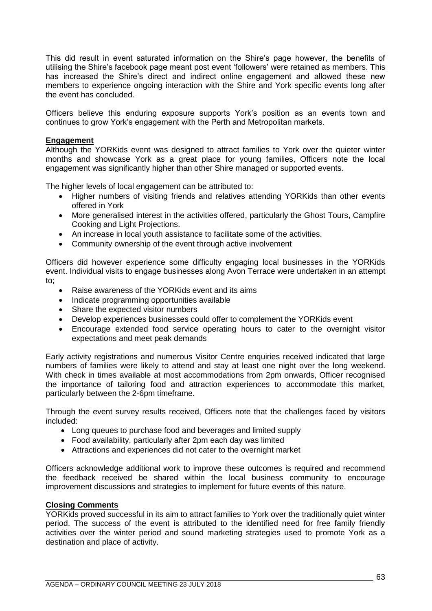This did result in event saturated information on the Shire's page however, the benefits of utilising the Shire's facebook page meant post event 'followers' were retained as members. This has increased the Shire's direct and indirect online engagement and allowed these new members to experience ongoing interaction with the Shire and York specific events long after the event has concluded.

Officers believe this enduring exposure supports York's position as an events town and continues to grow York's engagement with the Perth and Metropolitan markets.

## **Engagement**

Although the YORKids event was designed to attract families to York over the quieter winter months and showcase York as a great place for young families, Officers note the local engagement was significantly higher than other Shire managed or supported events.

The higher levels of local engagement can be attributed to:

- Higher numbers of visiting friends and relatives attending YORKids than other events offered in York
- More generalised interest in the activities offered, particularly the Ghost Tours, Campfire Cooking and Light Projections.
- An increase in local youth assistance to facilitate some of the activities.
- Community ownership of the event through active involvement

Officers did however experience some difficulty engaging local businesses in the YORKids event. Individual visits to engage businesses along Avon Terrace were undertaken in an attempt to;

- Raise awareness of the YORKids event and its aims
- Indicate programming opportunities available
- Share the expected visitor numbers
- Develop experiences businesses could offer to complement the YORKids event
- Encourage extended food service operating hours to cater to the overnight visitor expectations and meet peak demands

Early activity registrations and numerous Visitor Centre enquiries received indicated that large numbers of families were likely to attend and stay at least one night over the long weekend. With check in times available at most accommodations from 2pm onwards, Officer recognised the importance of tailoring food and attraction experiences to accommodate this market, particularly between the 2-6pm timeframe.

Through the event survey results received, Officers note that the challenges faced by visitors included:

- Long queues to purchase food and beverages and limited supply
- Food availability, particularly after 2pm each day was limited
- Attractions and experiences did not cater to the overnight market

Officers acknowledge additional work to improve these outcomes is required and recommend the feedback received be shared within the local business community to encourage improvement discussions and strategies to implement for future events of this nature.

#### **Closing Comments**

YORKids proved successful in its aim to attract families to York over the traditionally quiet winter period. The success of the event is attributed to the identified need for free family friendly activities over the winter period and sound marketing strategies used to promote York as a destination and place of activity.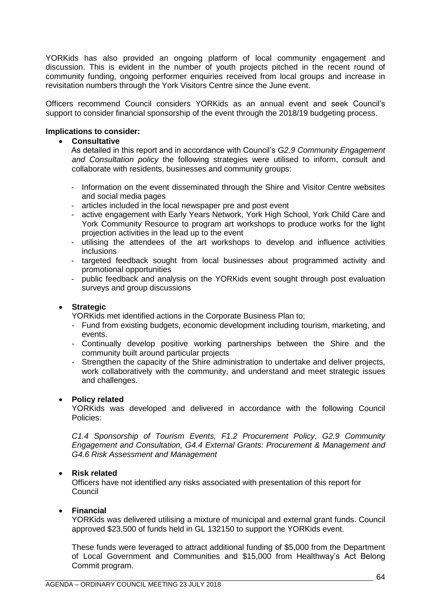YORKids has also provided an ongoing platform of local community engagement and discussion. This is evident in the number of youth projects pitched in the recent round of community funding, ongoing performer enquiries received from local groups and increase in revisitation numbers through the York Visitors Centre since the June event.

Officers recommend Council considers YORKids as an annual event and seek Council's support to consider financial sponsorship of the event through the 2018/19 budgeting process.

## **Implications to consider:**

#### • **Consultative**

As detailed in this report and in accordance with Council's *G2.9 Community Engagement and Consultation policy* the following strategies were utilised to inform, consult and collaborate with residents, businesses and community groups:

- Information on the event disseminated through the Shire and Visitor Centre websites and social media pages
- articles included in the local newspaper pre and post event
- active engagement with Early Years Network, York High School, York Child Care and York Community Resource to program art workshops to produce works for the light projection activities in the lead up to the event
- utilising the attendees of the art workshops to develop and influence activities inclusions
- targeted feedback sought from local businesses about programmed activity and promotional opportunities
- public feedback and analysis on the YORKids event sought through post evaluation surveys and group discussions

#### • **Strategic**

YORKids met identified actions in the Corporate Business Plan to;

- Fund from existing budgets, economic development including tourism, marketing, and events.
- Continually develop positive working partnerships between the Shire and the community built around particular projects
- Strengthen the capacity of the Shire administration to undertake and deliver projects, work collaboratively with the community, and understand and meet strategic issues and challenges.

#### • **Policy related**

YORKids was developed and delivered in accordance with the following Council Policies:

*C1.4 Sponsorship of Tourism Events, F1.2 Procurement Policy, G2.9 Community Engagement and Consultation, G4.4 External Grants: Procurement & Management and G4.6 Risk Assessment and Management*

#### • **Risk related**

Officers have not identified any risks associated with presentation of this report for **Council** 

#### • **Financial**

YORKids was delivered utilising a mixture of municipal and external grant funds. Council approved \$23,500 of funds held in GL 132150 to support the YORKids event.

These funds were leveraged to attract additional funding of \$5,000 from the Department of Local Government and Communities and \$15,000 from Healthway's Act Belong Commit program.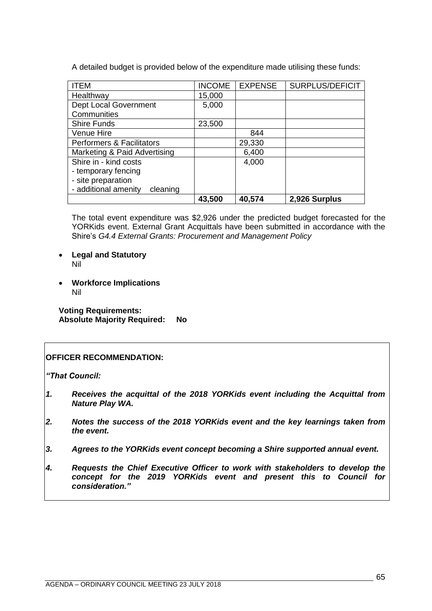A detailed budget is provided below of the expenditure made utilising these funds:

| <b>ITEM</b>                          | <b>INCOME</b> | <b>EXPENSE</b> | SURPLUS/DEFICIT |
|--------------------------------------|---------------|----------------|-----------------|
| Healthway                            | 15,000        |                |                 |
| Dept Local Government                | 5,000         |                |                 |
| Communities                          |               |                |                 |
| <b>Shire Funds</b>                   | 23,500        |                |                 |
| Venue Hire                           |               | 844            |                 |
| <b>Performers &amp; Facilitators</b> |               | 29,330         |                 |
| Marketing & Paid Advertising         |               | 6,400          |                 |
| Shire in - kind costs                |               | 4,000          |                 |
| - temporary fencing                  |               |                |                 |
| - site preparation                   |               |                |                 |
| - additional amenity<br>cleaning     |               |                |                 |
|                                      | 43,500        | 40,574         | 2,926 Surplus   |

The total event expenditure was \$2,926 under the predicted budget forecasted for the YORKids event. External Grant Acquittals have been submitted in accordance with the Shire's *G4.4 External Grants: Procurement and Management Policy*

- **Legal and Statutory** Nil
- **Workforce Implications** Nil

**Voting Requirements: Absolute Majority Required: No**

# **OFFICER RECOMMENDATION:**

*"That Council:*

- *1. Receives the acquittal of the 2018 YORKids event including the Acquittal from Nature Play WA.*
- *2. Notes the success of the 2018 YORKids event and the key learnings taken from the event.*
- *3. Agrees to the YORKids event concept becoming a Shire supported annual event.*
- *4. Requests the Chief Executive Officer to work with stakeholders to develop the concept for the 2019 YORKids event and present this to Council for consideration."*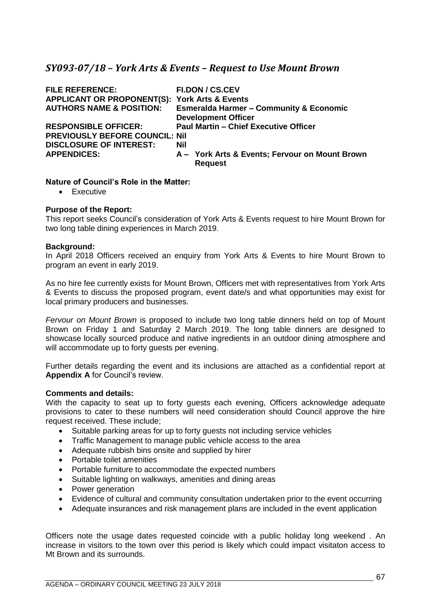# *SY093-07/18 – York Arts & Events – Request to Use Mount Brown*

| <b>FI.DON / CS.CEV</b>                                   |
|----------------------------------------------------------|
| <b>APPLICANT OR PROPONENT(S): York Arts &amp; Events</b> |
| <b>Esmeralda Harmer - Community &amp; Economic</b>       |
| <b>Development Officer</b>                               |
| <b>Paul Martin - Chief Executive Officer</b>             |
| <b>PREVIOUSLY BEFORE COUNCIL: Nil</b>                    |
| <b>Nil</b>                                               |
| A - York Arts & Events; Fervour on Mount Brown           |
| <b>Request</b>                                           |
|                                                          |

## **Nature of Council's Role in the Matter:**

• Executive

## **Purpose of the Report:**

This report seeks Council's consideration of York Arts & Events request to hire Mount Brown for two long table dining experiences in March 2019.

## **Background:**

In April 2018 Officers received an enquiry from York Arts & Events to hire Mount Brown to program an event in early 2019.

As no hire fee currently exists for Mount Brown, Officers met with representatives from York Arts & Events to discuss the proposed program, event date/s and what opportunities may exist for local primary producers and businesses.

*Fervour on Mount Brown* is proposed to include two long table dinners held on top of Mount Brown on Friday 1 and Saturday 2 March 2019. The long table dinners are designed to showcase locally sourced produce and native ingredients in an outdoor dining atmosphere and will accommodate up to forty guests per evening.

Further details regarding the event and its inclusions are attached as a confidential report at **Appendix A** for Council's review.

## **Comments and details:**

With the capacity to seat up to forty guests each evening, Officers acknowledge adequate provisions to cater to these numbers will need consideration should Council approve the hire request received. These include;

- Suitable parking areas for up to forty guests not including service vehicles
- Traffic Management to manage public vehicle access to the area
- Adequate rubbish bins onsite and supplied by hirer
- Portable toilet amenities
- Portable furniture to accommodate the expected numbers
- Suitable lighting on walkways, amenities and dining areas
- Power generation
- Evidence of cultural and community consultation undertaken prior to the event occurring
- Adequate insurances and risk management plans are included in the event application

Officers note the usage dates requested coincide with a public holiday long weekend . An increase in visitors to the town over this period is likely which could impact visitaton access to Mt Brown and its surrounds.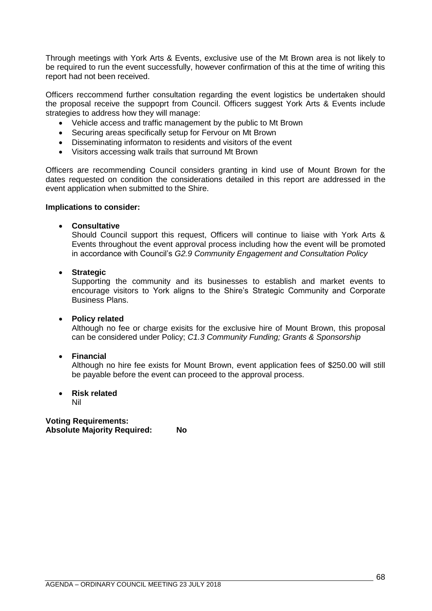Through meetings with York Arts & Events, exclusive use of the Mt Brown area is not likely to be required to run the event successfully, however confirmation of this at the time of writing this report had not been received.

Officers reccommend further consultation regarding the event logistics be undertaken should the proposal receive the suppoprt from Council. Officers suggest York Arts & Events include strategies to address how they will manage:

- Vehicle access and traffic management by the public to Mt Brown
- Securing areas specifically setup for Fervour on Mt Brown
- Disseminating informaton to residents and visitors of the event
- Visitors accessing walk trails that surround Mt Brown

Officers are recommending Council considers granting in kind use of Mount Brown for the dates requested on condition the considerations detailed in this report are addressed in the event application when submitted to the Shire.

#### **Implications to consider:**

## • **Consultative**

Should Council support this request, Officers will continue to liaise with York Arts & Events throughout the event approval process including how the event will be promoted in accordance with Council's *G2.9 Community Engagement and Consultation Policy*

## • **Strategic**

Supporting the community and its businesses to establish and market events to encourage visitors to York aligns to the Shire's Strategic Community and Corporate Business Plans.

#### • **Policy related**

Although no fee or charge exisits for the exclusive hire of Mount Brown, this proposal can be considered under Policy; *C1.3 Community Funding; Grants & Sponsorship*

## • **Financial**

Although no hire fee exists for Mount Brown, event application fees of \$250.00 will still be payable before the event can proceed to the approval process.

#### • **Risk related**

Nil

**Voting Requirements: Absolute Majority Required: No**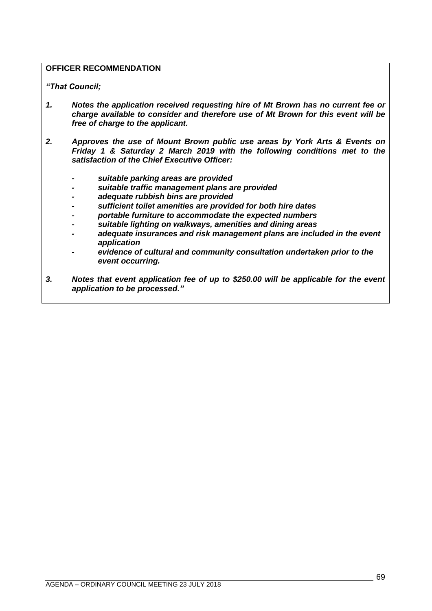# **OFFICER RECOMMENDATION**

*"That Council;*

- *1. Notes the application received requesting hire of Mt Brown has no current fee or charge available to consider and therefore use of Mt Brown for this event will be free of charge to the applicant.*
- *2. Approves the use of Mount Brown public use areas by York Arts & Events on Friday 1 & Saturday 2 March 2019 with the following conditions met to the satisfaction of the Chief Executive Officer:*
	- *- suitable parking areas are provided*
	- *- suitable traffic management plans are provided*
	- *- adequate rubbish bins are provided*
	- *- sufficient toilet amenities are provided for both hire dates*
	- *- portable furniture to accommodate the expected numbers*
	- *- suitable lighting on walkways, amenities and dining areas*
	- *adequate insurances and risk management plans are included in the event application*
	- *- evidence of cultural and community consultation undertaken prior to the event occurring.*
- *3. Notes that event application fee of up to \$250.00 will be applicable for the event application to be processed."*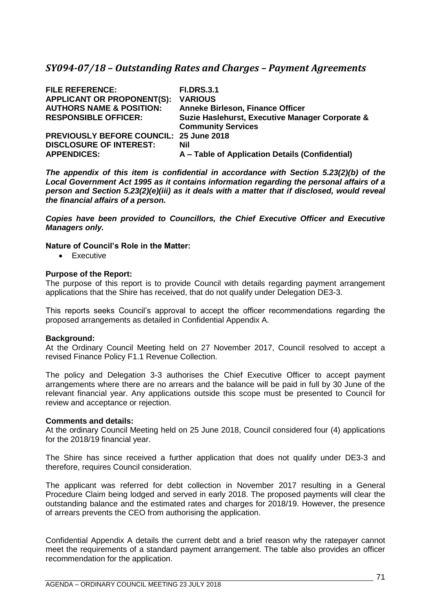# *SY094-07/18 – Outstanding Rates and Charges – Payment Agreements*

| <b>FILE REFERENCE:</b><br><b>APPLICANT OR PROPONENT(S):</b> | <b>FI.DRS.3.1</b><br><b>VARIOUS</b>             |
|-------------------------------------------------------------|-------------------------------------------------|
| <b>AUTHORS NAME &amp; POSITION:</b>                         | <b>Anneke Birleson, Finance Officer</b>         |
| <b>RESPONSIBLE OFFICER:</b>                                 | Suzie Haslehurst, Executive Manager Corporate & |
|                                                             | <b>Community Services</b>                       |
| <b>PREVIOUSLY BEFORE COUNCIL: 25 June 2018</b>              |                                                 |
| <b>DISCLOSURE OF INTEREST:</b>                              | Nil                                             |
| <b>APPENDICES:</b>                                          | A – Table of Application Details (Confidential) |

*The appendix of this item is confidential in accordance with Section 5.23(2)(b) of the Local Government Act 1995 as it contains information regarding the personal affairs of a person and Section 5.23(2)(e)(iii) as it deals with a matter that if disclosed, would reveal the financial affairs of a person.* 

*Copies have been provided to Councillors, the Chief Executive Officer and Executive Managers only.*

## **Nature of Council's Role in the Matter:**

• Executive

## **Purpose of the Report:**

The purpose of this report is to provide Council with details regarding payment arrangement applications that the Shire has received, that do not qualify under Delegation DE3-3.

This reports seeks Council's approval to accept the officer recommendations regarding the proposed arrangements as detailed in Confidential Appendix A.

#### **Background:**

At the Ordinary Council Meeting held on 27 November 2017, Council resolved to accept a revised Finance Policy F1.1 Revenue Collection.

The policy and Delegation 3-3 authorises the Chief Executive Officer to accept payment arrangements where there are no arrears and the balance will be paid in full by 30 June of the relevant financial year. Any applications outside this scope must be presented to Council for review and acceptance or rejection.

#### **Comments and details:**

At the ordinary Council Meeting held on 25 June 2018, Council considered four (4) applications for the 2018/19 financial year.

The Shire has since received a further application that does not qualify under DE3-3 and therefore, requires Council consideration.

The applicant was referred for debt collection in November 2017 resulting in a General Procedure Claim being lodged and served in early 2018. The proposed payments will clear the outstanding balance and the estimated rates and charges for 2018/19. However, the presence of arrears prevents the CEO from authorising the application.

Confidential Appendix A details the current debt and a brief reason why the ratepayer cannot meet the requirements of a standard payment arrangement. The table also provides an officer recommendation for the application.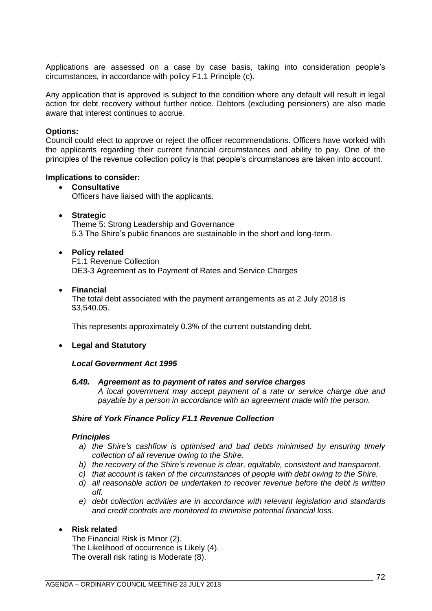Applications are assessed on a case by case basis, taking into consideration people's circumstances, in accordance with policy F1.1 Principle (c).

Any application that is approved is subject to the condition where any default will result in legal action for debt recovery without further notice. Debtors (excluding pensioners) are also made aware that interest continues to accrue.

#### **Options:**

Council could elect to approve or reject the officer recommendations. Officers have worked with the applicants regarding their current financial circumstances and ability to pay. One of the principles of the revenue collection policy is that people's circumstances are taken into account.

#### **Implications to consider:**

## • **Consultative**

Officers have liaised with the applicants.

• **Strategic**

Theme 5: Strong Leadership and Governance 5.3 The Shire's public finances are sustainable in the short and long-term.

## • **Policy related**

F1.1 Revenue Collection DE3-3 Agreement as to Payment of Rates and Service Charges

• **Financial**

The total debt associated with the payment arrangements as at 2 July 2018 is \$3,540.05.

This represents approximately 0.3% of the current outstanding debt.

## • **Legal and Statutory**

#### *Local Government Act 1995*

#### *6.49. Agreement as to payment of rates and service charges*

*A local government may accept payment of a rate or service charge due and payable by a person in accordance with an agreement made with the person.*

#### *Shire of York Finance Policy F1.1 Revenue Collection*

#### *Principles*

- *a) the Shire's cashflow is optimised and bad debts minimised by ensuring timely collection of all revenue owing to the Shire.*
- *b) the recovery of the Shire's revenue is clear, equitable, consistent and transparent.*
- *c) that account is taken of the circumstances of people with debt owing to the Shire.*
- *d) all reasonable action be undertaken to recover revenue before the debt is written off.*
- *e) debt collection activities are in accordance with relevant legislation and standards and credit controls are monitored to minimise potential financial loss.*

## • **Risk related**

The Financial Risk is Minor (2). The Likelihood of occurrence is Likely (4). The overall risk rating is Moderate (8).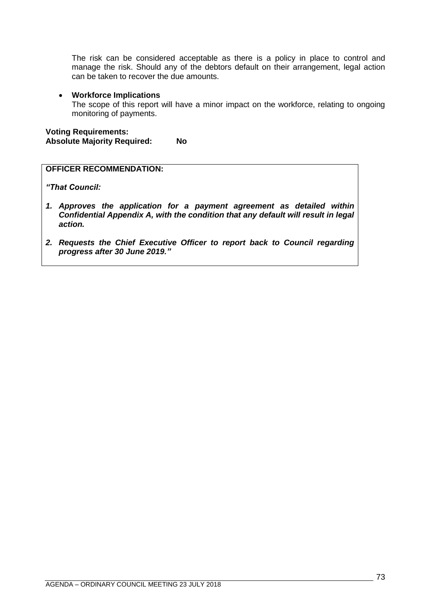The risk can be considered acceptable as there is a policy in place to control and manage the risk. Should any of the debtors default on their arrangement, legal action can be taken to recover the due amounts.

#### • **Workforce Implications**

The scope of this report will have a minor impact on the workforce, relating to ongoing monitoring of payments.

**Voting Requirements: Absolute Majority Required: No**

## **OFFICER RECOMMENDATION:**

*"That Council:*

- *1. Approves the application for a payment agreement as detailed within Confidential Appendix A, with the condition that any default will result in legal action.*
- *2. Requests the Chief Executive Officer to report back to Council regarding progress after 30 June 2019."*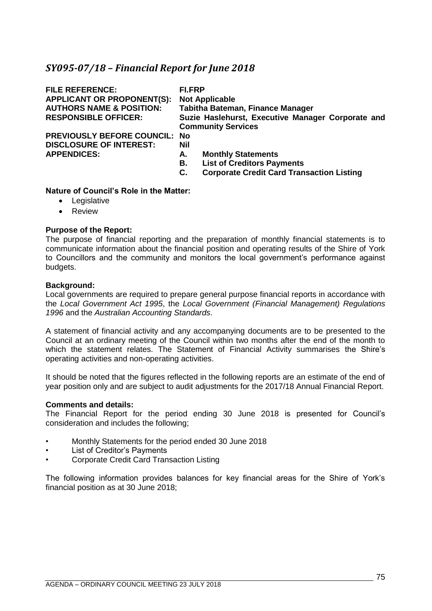## *SY095-07/18 – Financial Report for June 2018*

| <b>FILE REFERENCE:</b><br><b>APPLICANT OR PROPONENT(S):</b><br><b>AUTHORS NAME &amp; POSITION:</b><br><b>RESPONSIBLE OFFICER:</b> | <b>FI.FRP</b><br><b>Not Applicable</b><br><b>Tabitha Bateman, Finance Manager</b><br>Suzie Haslehurst, Executive Manager Corporate and<br><b>Community Services</b> |
|-----------------------------------------------------------------------------------------------------------------------------------|---------------------------------------------------------------------------------------------------------------------------------------------------------------------|
| <b>PREVIOUSLY BEFORE COUNCIL:</b><br><b>DISCLOSURE OF INTEREST:</b><br><b>APPENDICES:</b>                                         | No<br>Nil<br><b>Monthly Statements</b><br>А.<br><b>List of Creditors Payments</b><br>В.<br><b>Corporate Credit Card Transaction Listing</b><br>С.                   |

#### **Nature of Council's Role in the Matter:**

- Legislative
- Review

#### **Purpose of the Report:**

The purpose of financial reporting and the preparation of monthly financial statements is to communicate information about the financial position and operating results of the Shire of York to Councillors and the community and monitors the local government's performance against budgets.

#### **Background:**

Local governments are required to prepare general purpose financial reports in accordance with the *Local Government Act 1995*, the *Local Government (Financial Management) Regulations 1996* and the *Australian Accounting Standards*.

A statement of financial activity and any accompanying documents are to be presented to the Council at an ordinary meeting of the Council within two months after the end of the month to which the statement relates. The Statement of Financial Activity summarises the Shire's operating activities and non-operating activities.

It should be noted that the figures reflected in the following reports are an estimate of the end of year position only and are subject to audit adjustments for the 2017/18 Annual Financial Report.

#### **Comments and details:**

The Financial Report for the period ending 30 June 2018 is presented for Council's consideration and includes the following;

- Monthly Statements for the period ended 30 June 2018
- List of Creditor's Payments
- Corporate Credit Card Transaction Listing

The following information provides balances for key financial areas for the Shire of York's financial position as at 30 June 2018;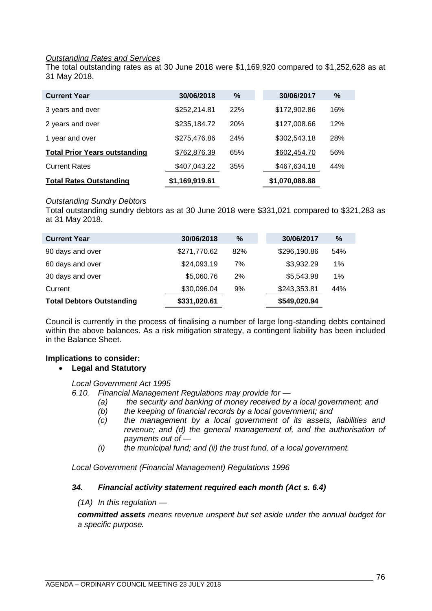### *Outstanding Rates and Services*

The total outstanding rates as at 30 June 2018 were \$1,169,920 compared to \$1,252,628 as at 31 May 2018.

| <b>Current Year</b>                  | 30/06/2018     | %          | 30/06/2017     | $\%$ |
|--------------------------------------|----------------|------------|----------------|------|
| 3 years and over                     | \$252,214.81   | 22%        | \$172,902.86   | 16%  |
| 2 years and over                     | \$235,184.72   | <b>20%</b> | \$127,008.66   | 12%  |
| 1 year and over                      | \$275,476.86   | <b>24%</b> | \$302,543.18   | 28%  |
| <b>Total Prior Years outstanding</b> | \$762,876.39   | 65%        | \$602,454.70   | 56%  |
| <b>Current Rates</b>                 | \$407,043.22   | 35%        | \$467,634.18   | 44%  |
| <b>Total Rates Outstanding</b>       | \$1,169,919.61 |            | \$1,070,088.88 |      |

#### *Outstanding Sundry Debtors*

Total outstanding sundry debtors as at 30 June 2018 were \$331,021 compared to \$321,283 as at 31 May 2018.

| <b>Current Year</b>              | 30/06/2018   | %   | 30/06/2017   | $\%$ |
|----------------------------------|--------------|-----|--------------|------|
| 90 days and over                 | \$271,770.62 | 82% | \$296,190.86 | 54%  |
| 60 days and over                 | \$24,093.19  | 7%  | \$3,932.29   | 1%   |
| 30 days and over                 | \$5,060.76   | 2%  | \$5,543.98   | 1%   |
| Current                          | \$30,096.04  | 9%  | \$243,353.81 | 44%  |
| <b>Total Debtors Outstanding</b> | \$331,020.61 |     | \$549,020.94 |      |

Council is currently in the process of finalising a number of large long-standing debts contained within the above balances. As a risk mitigation strategy, a contingent liability has been included in the Balance Sheet.

#### **Implications to consider:**

#### • **Legal and Statutory**

*Local Government Act 1995*

*6.10. Financial Management Regulations may provide for —*

- *(a) the security and banking of money received by a local government; and* 
	- *(b) the keeping of financial records by a local government; and*
	- *(c) the management by a local government of its assets, liabilities and revenue; and (d) the general management of, and the authorisation of payments out of —*
	- *(i) the municipal fund; and (ii) the trust fund, of a local government.*

*Local Government (Financial Management) Regulations 1996*

#### *34. Financial activity statement required each month (Act s. 6.4)*

*(1A) In this regulation —*

*committed assets means revenue unspent but set aside under the annual budget for a specific purpose.*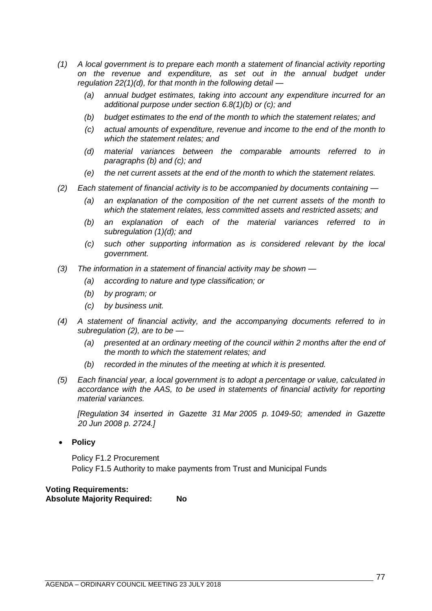- *(1) A local government is to prepare each month a statement of financial activity reporting on the revenue and expenditure, as set out in the annual budget under regulation 22(1)(d), for that month in the following detail —*
	- *(a) annual budget estimates, taking into account any expenditure incurred for an additional purpose under section 6.8(1)(b) or (c); and*
	- *(b) budget estimates to the end of the month to which the statement relates; and*
	- *(c) actual amounts of expenditure, revenue and income to the end of the month to which the statement relates; and*
	- *(d) material variances between the comparable amounts referred to in paragraphs (b) and (c); and*
	- *(e) the net current assets at the end of the month to which the statement relates.*
- *(2) Each statement of financial activity is to be accompanied by documents containing —*
	- *(a) an explanation of the composition of the net current assets of the month to which the statement relates, less committed assets and restricted assets; and*
	- *(b) an explanation of each of the material variances referred to in subregulation (1)(d); and*
	- *(c) such other supporting information as is considered relevant by the local government.*
- *(3) The information in a statement of financial activity may be shown —*
	- *(a) according to nature and type classification; or*
	- *(b) by program; or*
	- *(c) by business unit.*
- *(4) A statement of financial activity, and the accompanying documents referred to in subregulation (2), are to be —*
	- *(a) presented at an ordinary meeting of the council within 2 months after the end of the month to which the statement relates; and*
	- *(b) recorded in the minutes of the meeting at which it is presented.*
- *(5) Each financial year, a local government is to adopt a percentage or value, calculated in accordance with the AAS, to be used in statements of financial activity for reporting material variances.*

*[Regulation 34 inserted in Gazette 31 Mar 2005 p. 1049-50; amended in Gazette 20 Jun 2008 p. 2724.]*

• **Policy**

Policy F1.2 Procurement Policy F1.5 Authority to make payments from Trust and Municipal Funds

## **Voting Requirements: Absolute Majority Required: No**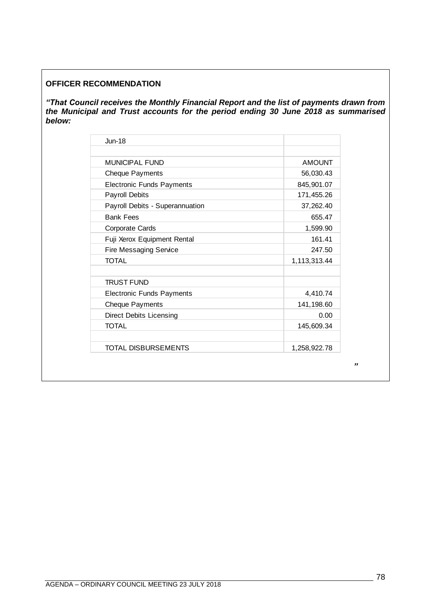## **OFFICER RECOMMENDATION**

*"That Council receives the Monthly Financial Report and the list of payments drawn from the Municipal and Trust accounts for the period ending 30 June 2018 as summarised below:* 

| $Jun-18$                         |               |
|----------------------------------|---------------|
| MUNICIPAL FUND                   | <b>AMOUNT</b> |
| <b>Cheque Payments</b>           | 56,030.43     |
| <b>Electronic Funds Payments</b> | 845,901.07    |
| <b>Payroll Debits</b>            | 171,455.26    |
| Payroll Debits - Superannuation  | 37,262.40     |
| <b>Bank Fees</b>                 | 655.47        |
| <b>Corporate Cards</b>           | 1,599.90      |
| Fuji Xerox Equipment Rental      | 161.41        |
| <b>Fire Messaging Service</b>    | 247.50        |
| <b>TOTAL</b>                     | 1,113,313.44  |
| <b>TRUST FUND</b>                |               |
| <b>Electronic Funds Payments</b> | 4,410.74      |
| <b>Cheque Payments</b>           | 141,198.60    |
| <b>Direct Debits Licensing</b>   | 0.00          |
| <b>TOTAL</b>                     | 145,609.34    |
| <b>TOTAL DISBURSEMENTS</b>       | 1,258,922.78  |

*"*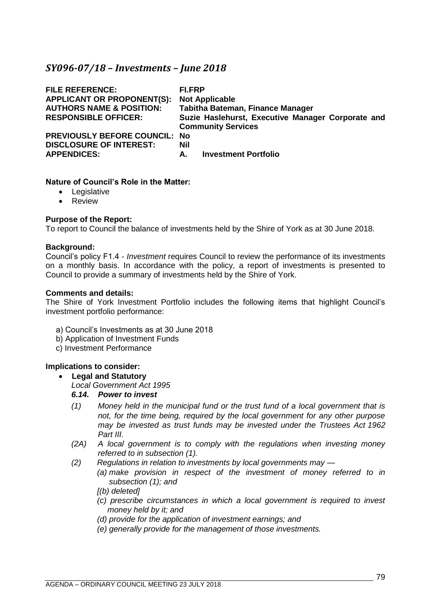## *SY096-07/18 – Investments – June 2018*

| <b>FILE REFERENCE:</b><br><b>APPLICANT OR PROPONENT(S):</b><br><b>AUTHORS NAME &amp; POSITION:</b><br><b>RESPONSIBLE OFFICER:</b> | FI.FRP<br><b>Not Applicable</b><br><b>Tabitha Bateman, Finance Manager</b><br>Suzie Haslehurst, Executive Manager Corporate and<br><b>Community Services</b> |
|-----------------------------------------------------------------------------------------------------------------------------------|--------------------------------------------------------------------------------------------------------------------------------------------------------------|
| <b>PREVIOUSLY BEFORE COUNCIL: No</b>                                                                                              | Nil                                                                                                                                                          |
| <b>DISCLOSURE OF INTEREST:</b>                                                                                                    | <b>Investment Portfolio</b>                                                                                                                                  |
| <b>APPENDICES:</b>                                                                                                                | А.                                                                                                                                                           |

#### **Nature of Council's Role in the Matter:**

- Legislative
- Review

#### **Purpose of the Report:**

To report to Council the balance of investments held by the Shire of York as at 30 June 2018.

#### **Background:**

Council's policy F1.4 - *Investment* requires Council to review the performance of its investments on a monthly basis. In accordance with the policy, a report of investments is presented to Council to provide a summary of investments held by the Shire of York.

#### **Comments and details:**

The Shire of York Investment Portfolio includes the following items that highlight Council's investment portfolio performance:

- a) Council's Investments as at 30 June 2018
- b) Application of Investment Funds
- c) Investment Performance

#### **Implications to consider:**

#### • **Legal and Statutory**

*Local Government Act 1995*

### *6.14. Power to invest*

- *(1) Money held in the municipal fund or the trust fund of a local government that is not, for the time being, required by the local government for any other purpose may be invested as trust funds may be invested under the Trustees Act 1962 Part III.*
- *(2A) A local government is to comply with the regulations when investing money referred to in subsection (1).*
- *(2) Regulations in relation to investments by local governments may —*
	- *(a) make provision in respect of the investment of money referred to in subsection (1); and*
	- *[(b) deleted]*
	- *(c) prescribe circumstances in which a local government is required to invest money held by it; and*
	- *(d) provide for the application of investment earnings; and*
	- *(e) generally provide for the management of those investments.*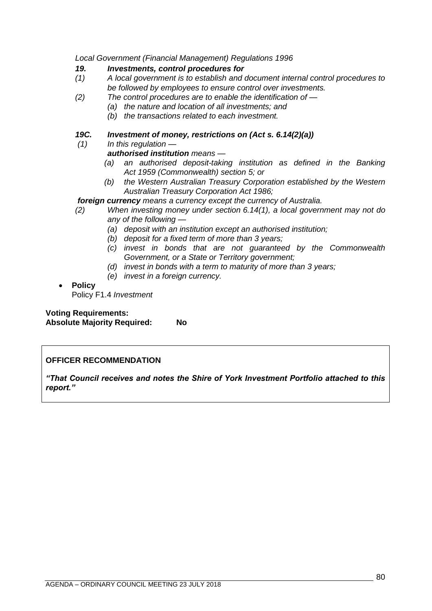*Local Government (Financial Management) Regulations 1996*

#### *19. Investments, control procedures for*

- *(1) A local government is to establish and document internal control procedures to be followed by employees to ensure control over investments.*
- *(2) The control procedures are to enable the identification of —*
	- *(a) the nature and location of all investments; and*
	- *(b) the transactions related to each investment.*

## *19C. Investment of money, restrictions on (Act s. 6.14(2)(a))*

*(1) In this regulation —*

## *authorised institution means —*

- *(a) an authorised deposit-taking institution as defined in the Banking Act 1959 (Commonwealth) section 5; or*
- *(b) the Western Australian Treasury Corporation established by the Western Australian Treasury Corporation Act 1986;*

#### *foreign currency means a currency except the currency of Australia.*

- *(2) When investing money under section 6.14(1), a local government may not do any of the following —*
	- *(a) deposit with an institution except an authorised institution;*
	- *(b) deposit for a fixed term of more than 3 years;*
	- *(c) invest in bonds that are not guaranteed by the Commonwealth Government, or a State or Territory government;*
	- *(d) invest in bonds with a term to maturity of more than 3 years;*
	- *(e) invest in a foreign currency.*

# • **Policy**

Policy F1.4 *Investment*

**Voting Requirements: Absolute Majority Required: No**

## **OFFICER RECOMMENDATION**

*"That Council receives and notes the Shire of York Investment Portfolio attached to this report."*